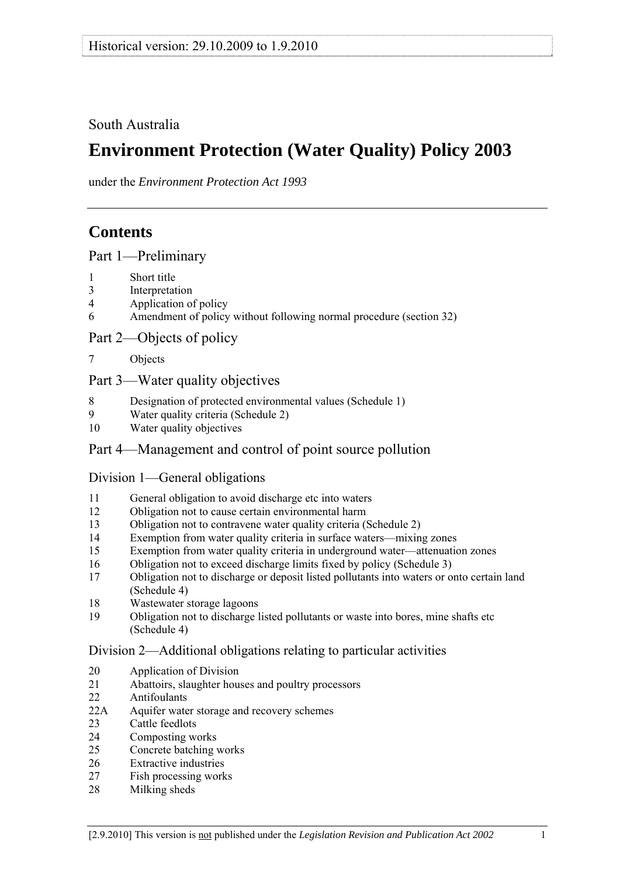South Australia

# **Environment Protection (Water Quality) Policy 2003**

under the *Environment Protection Act 1993*

# **Contents**

[Part 1—Preliminary](#page-1-0)

- [1 Short title](#page-1-0)
- [3 Interpretation](#page-1-0)
- [4 Application of policy](#page-3-0)
- [6 Amendment of policy without following normal procedure \(section 32\)](#page-4-0)

[Part 2—Objects of policy](#page-5-0) 

[7 Objects](#page-5-0)

## [Part 3—Water quality objectives](#page-5-0)

- 8 Designation of protected environmental values (Schedule 1)
- 9 Water quality criteria (Schedule 2)<br>10 Water quality objectives
- Water quality objectives

# Part 4—Management and control of point source pollution

## Division 1—General obligations

- 11 General obligation to avoid discharge etc into waters
- 12 Obligation not to cause certain environmental harm
- 13 Obligation not to contravene water quality criteria (Schedule 2)
- 14 Exemption from water quality criteria in surface waters—mixing zones
- 15 Exemption from water quality criteria in underground water—attenuation zones
- 16 Obligation not to exceed discharge limits fixed by policy (Schedule 3)
- 17 Obligation not to discharge or deposit listed pollutants into waters or onto certain land (Schedule 4)
- 18 Wastewater storage lagoons
- 19 Obligation not to discharge listed pollutants or waste into bores, mine shafts etc (Schedule 4)

## Division 2—Additional obligations relating to particular activities

- 20 Application of Division
- 21 Abattoirs, slaughter houses and poultry processors
- 22 Antifoulants
- 22A Aquifer water storage and recovery schemes
- 23 Cattle feedlots
- 24 Composting works
- 25 Concrete batching works
- 26 Extractive industries
- 27 Fish processing works
- 28 Milking sheds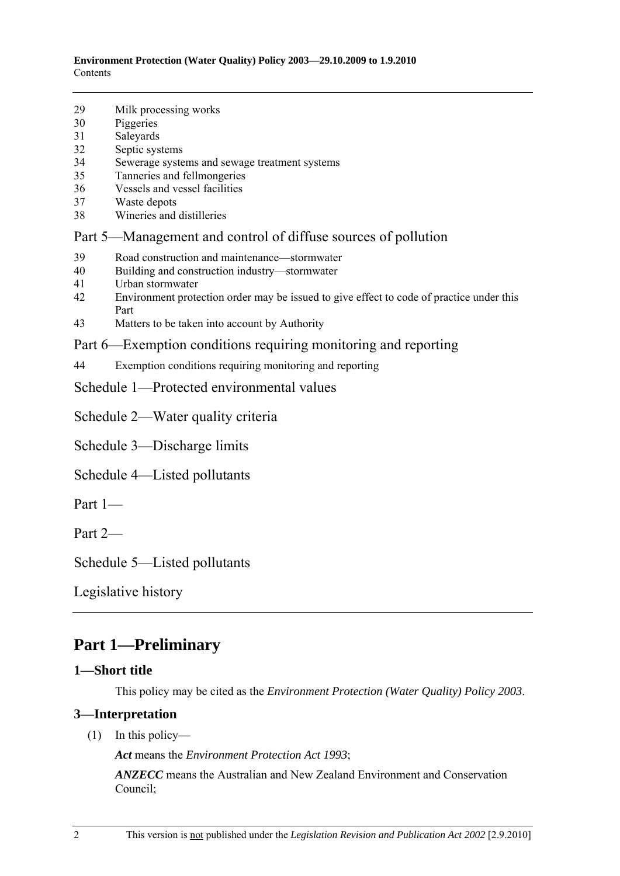- <span id="page-1-0"></span>29 Milk processing works
- 30 Piggeries
- 31 Saleyards
- 32 Septic systems
- 34 Sewerage systems and sewage treatment systems
- 35 Tanneries and fellmongeries
- 36 Vessels and vessel facilities
- 37 Waste depots
- 38 Wineries and distilleries
- Part 5—Management and control of diffuse sources of pollution
- 39 Road construction and maintenance—stormwater
- 40 Building and construction industry—stormwater
- 41 Urban stormwater
- 42 Environment protection order may be issued to give effect to code of practice under this Part
- 43 Matters to be taken into account by Authority
- Part 6—Exemption conditions requiring monitoring and reporting
- 44 Exemption conditions requiring monitoring and reporting
- Schedule 1—Protected environmental values

Schedule 2—Water quality criteria

Schedule 3—Discharge limits

Schedule 4—Listed pollutants

Part 1—

Part 2—

Schedule 5—Listed pollutants

Legislative history

# **Part 1—Preliminary**

#### **1—Short title**

This policy may be cited as the *Environment Protection (Water Quality) Policy 2003*.

## **3—Interpretation**

(1) In this policy—

*Act* means the *Environment Protection Act 1993*;

*ANZECC* means the Australian and New Zealand Environment and Conservation Council;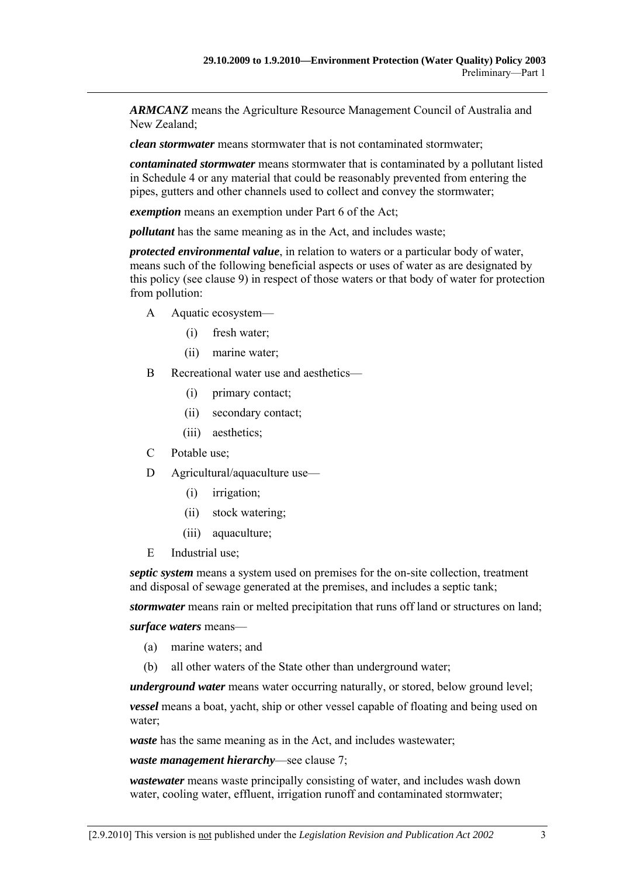*ARMCANZ* means the Agriculture Resource Management Council of Australia and New Zealand;

*clean stormwater* means stormwater that is not contaminated stormwater;

*contaminated stormwater* means stormwater that is contaminated by a pollutant listed in Schedule 4 or any material that could be reasonably prevented from entering the pipes, gutters and other channels used to collect and convey the stormwater;

*exemption* means an exemption under Part 6 of the Act;

*pollutant* has the same meaning as in the Act, and includes waste;

*protected environmental value*, in relation to waters or a particular body of water, means such of the following beneficial aspects or uses of water as are designated by this policy (see clause 9) in respect of those waters or that body of water for protection from pollution:

- A Aquatic ecosystem—
	- (i) fresh water;
	- (ii) marine water;
- B Recreational water use and aesthetics—
	- (i) primary contact;
	- (ii) secondary contact;
	- (iii) aesthetics;
- C Potable use;
- D Agricultural/aquaculture use—
	- (i) irrigation;
	- (ii) stock watering;
	- (iii) aquaculture;
- E Industrial use;

*septic system* means a system used on premises for the on-site collection, treatment and disposal of sewage generated at the premises, and includes a septic tank;

*stormwater* means rain or melted precipitation that runs off land or structures on land;

#### *surface waters* means—

- (a) marine waters; and
- (b) all other waters of the State other than underground water;

*underground water* means water occurring naturally, or stored, below ground level;

*vessel* means a boat, yacht, ship or other vessel capable of floating and being used on water;

*waste* has the same meaning as in the Act, and includes wastewater;

#### *waste management hierarchy*—see clause 7;

*wastewater* means waste principally consisting of water, and includes wash down water, cooling water, effluent, irrigation runoff and contaminated stormwater;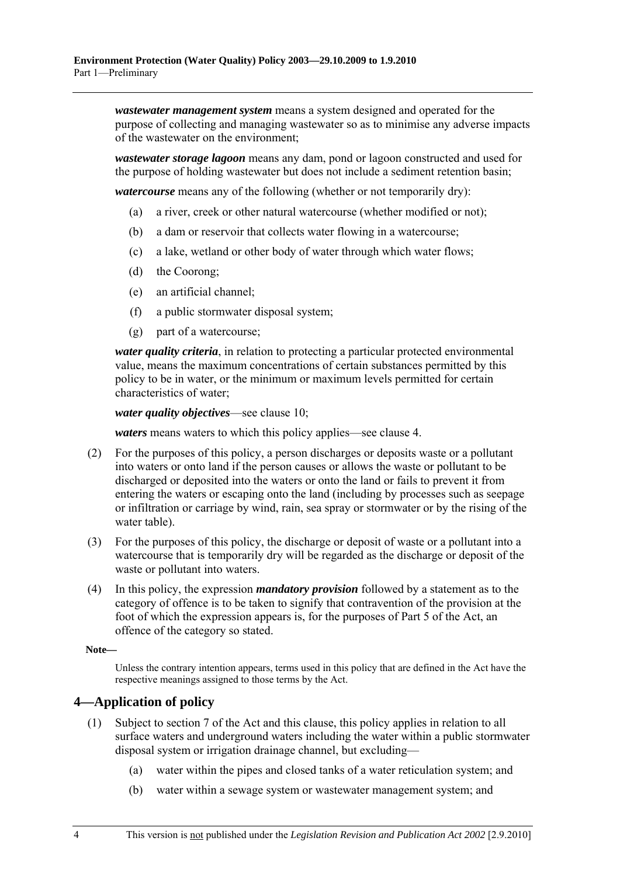<span id="page-3-0"></span>*wastewater management system* means a system designed and operated for the purpose of collecting and managing wastewater so as to minimise any adverse impacts of the wastewater on the environment;

*wastewater storage lagoon* means any dam, pond or lagoon constructed and used for the purpose of holding wastewater but does not include a sediment retention basin;

*watercourse* means any of the following (whether or not temporarily dry):

- (a) a river, creek or other natural watercourse (whether modified or not);
- (b) a dam or reservoir that collects water flowing in a watercourse;
- (c) a lake, wetland or other body of water through which water flows;
- (d) the Coorong;
- (e) an artificial channel;
- (f) a public stormwater disposal system;
- (g) part of a watercourse;

*water quality criteria*, in relation to protecting a particular protected environmental value, means the maximum concentrations of certain substances permitted by this policy to be in water, or the minimum or maximum levels permitted for certain characteristics of water;

*water quality objectives*—see clause 10;

*waters* means waters to which this policy applies—see clause 4.

- (2) For the purposes of this policy, a person discharges or deposits waste or a pollutant into waters or onto land if the person causes or allows the waste or pollutant to be discharged or deposited into the waters or onto the land or fails to prevent it from entering the waters or escaping onto the land (including by processes such as seepage or infiltration or carriage by wind, rain, sea spray or stormwater or by the rising of the water table).
- (3) For the purposes of this policy, the discharge or deposit of waste or a pollutant into a watercourse that is temporarily dry will be regarded as the discharge or deposit of the waste or pollutant into waters.
- (4) In this policy, the expression *mandatory provision* followed by a statement as to the category of offence is to be taken to signify that contravention of the provision at the foot of which the expression appears is, for the purposes of Part 5 of the Act, an offence of the category so stated.

**Note—** 

Unless the contrary intention appears, terms used in this policy that are defined in the Act have the respective meanings assigned to those terms by the Act.

#### **4—Application of policy**

- (1) Subject to section 7 of the Act and this clause, this policy applies in relation to all surface waters and underground waters including the water within a public stormwater disposal system or irrigation drainage channel, but excluding—
	- (a) water within the pipes and closed tanks of a water reticulation system; and
	- (b) water within a sewage system or wastewater management system; and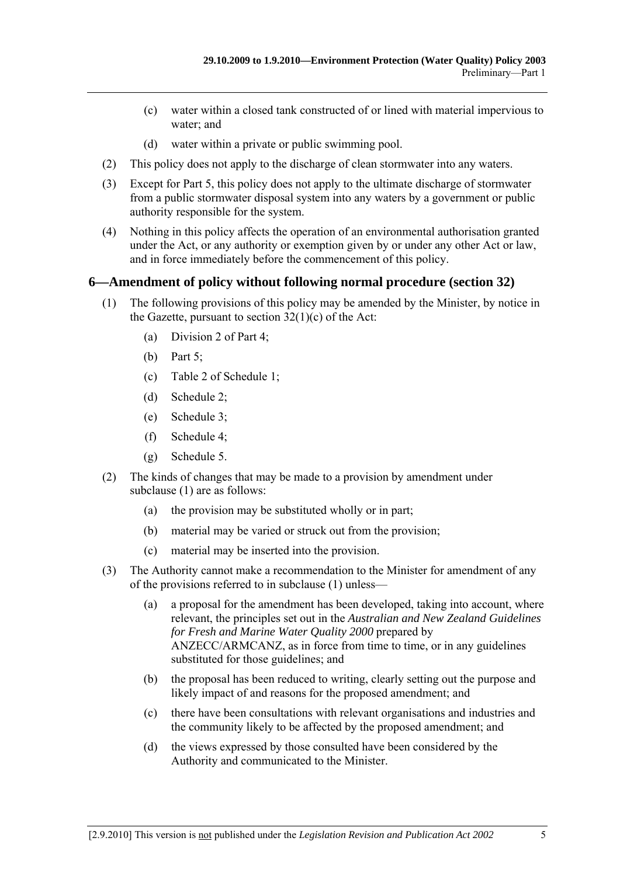- <span id="page-4-0"></span> (c) water within a closed tank constructed of or lined with material impervious to water; and
- (d) water within a private or public swimming pool.
- (2) This policy does not apply to the discharge of clean stormwater into any waters.
- (3) Except for Part 5, this policy does not apply to the ultimate discharge of stormwater from a public stormwater disposal system into any waters by a government or public authority responsible for the system.
- (4) Nothing in this policy affects the operation of an environmental authorisation granted under the Act, or any authority or exemption given by or under any other Act or law, and in force immediately before the commencement of this policy.

#### **6—Amendment of policy without following normal procedure (section 32)**

- (1) The following provisions of this policy may be amended by the Minister, by notice in the Gazette, pursuant to section  $32(1)(c)$  of the Act:
	- (a) Division 2 of Part 4;
	- (b) Part 5;
	- (c) Table 2 of Schedule 1;
	- (d) Schedule 2;
	- (e) Schedule 3;
	- (f) Schedule 4;
	- (g) Schedule 5.
- (2) The kinds of changes that may be made to a provision by amendment under subclause (1) are as follows:
	- (a) the provision may be substituted wholly or in part;
	- (b) material may be varied or struck out from the provision;
	- (c) material may be inserted into the provision.
- (3) The Authority cannot make a recommendation to the Minister for amendment of any of the provisions referred to in subclause (1) unless—
	- (a) a proposal for the amendment has been developed, taking into account, where relevant, the principles set out in the *Australian and New Zealand Guidelines for Fresh and Marine Water Quality 2000* prepared by ANZECC/ARMCANZ, as in force from time to time, or in any guidelines substituted for those guidelines; and
	- (b) the proposal has been reduced to writing, clearly setting out the purpose and likely impact of and reasons for the proposed amendment; and
	- (c) there have been consultations with relevant organisations and industries and the community likely to be affected by the proposed amendment; and
	- (d) the views expressed by those consulted have been considered by the Authority and communicated to the Minister.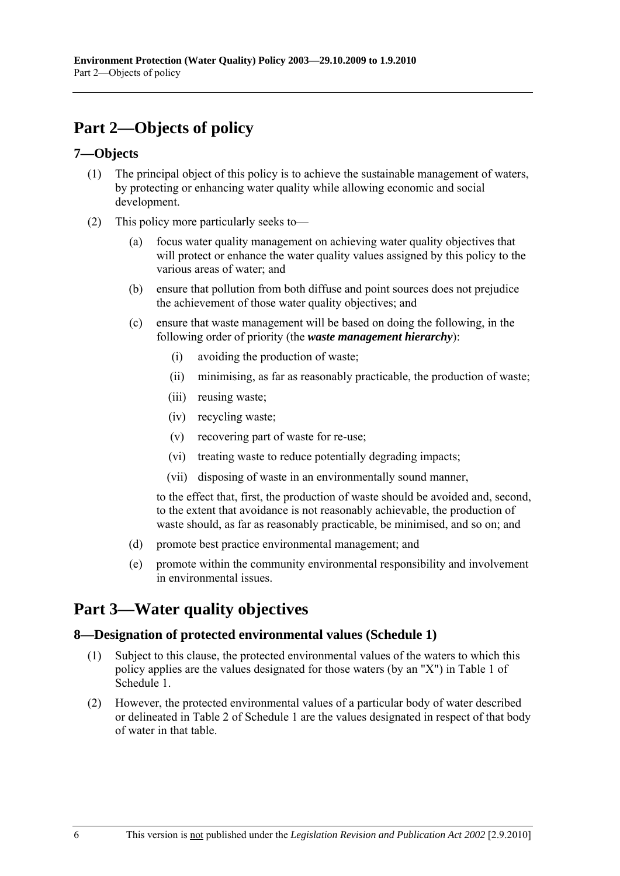# <span id="page-5-0"></span>**Part 2—Objects of policy**

## **7—Objects**

- (1) The principal object of this policy is to achieve the sustainable management of waters, by protecting or enhancing water quality while allowing economic and social development.
- (2) This policy more particularly seeks to—
	- (a) focus water quality management on achieving water quality objectives that will protect or enhance the water quality values assigned by this policy to the various areas of water; and
	- (b) ensure that pollution from both diffuse and point sources does not prejudice the achievement of those water quality objectives; and
	- (c) ensure that waste management will be based on doing the following, in the following order of priority (the *waste management hierarchy*):
		- (i) avoiding the production of waste;
		- (ii) minimising, as far as reasonably practicable, the production of waste;
		- (iii) reusing waste;
		- (iv) recycling waste;
		- (v) recovering part of waste for re-use;
		- (vi) treating waste to reduce potentially degrading impacts;
		- (vii) disposing of waste in an environmentally sound manner,

to the effect that, first, the production of waste should be avoided and, second, to the extent that avoidance is not reasonably achievable, the production of waste should, as far as reasonably practicable, be minimised, and so on; and

- (d) promote best practice environmental management; and
- (e) promote within the community environmental responsibility and involvement in environmental issues.

# **Part 3—Water quality objectives**

#### **8—Designation of protected environmental values (Schedule 1)**

- (1) Subject to this clause, the protected environmental values of the waters to which this policy applies are the values designated for those waters (by an "X") in Table 1 of Schedule 1.
- (2) However, the protected environmental values of a particular body of water described or delineated in Table 2 of Schedule 1 are the values designated in respect of that body of water in that table.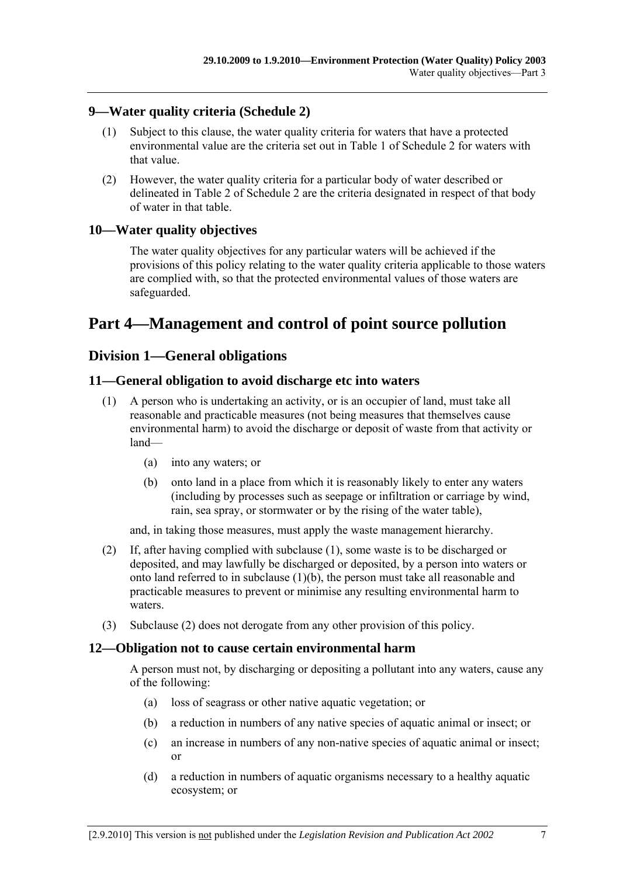## **9—Water quality criteria (Schedule 2)**

- (1) Subject to this clause, the water quality criteria for waters that have a protected environmental value are the criteria set out in Table 1 of Schedule 2 for waters with that value.
- (2) However, the water quality criteria for a particular body of water described or delineated in Table 2 of Schedule 2 are the criteria designated in respect of that body of water in that table.

## **10—Water quality objectives**

The water quality objectives for any particular waters will be achieved if the provisions of this policy relating to the water quality criteria applicable to those waters are complied with, so that the protected environmental values of those waters are safeguarded.

# **Part 4—Management and control of point source pollution**

## **Division 1—General obligations**

#### **11—General obligation to avoid discharge etc into waters**

- (1) A person who is undertaking an activity, or is an occupier of land, must take all reasonable and practicable measures (not being measures that themselves cause environmental harm) to avoid the discharge or deposit of waste from that activity or land—
	- (a) into any waters; or
	- (b) onto land in a place from which it is reasonably likely to enter any waters (including by processes such as seepage or infiltration or carriage by wind, rain, sea spray, or stormwater or by the rising of the water table),

and, in taking those measures, must apply the waste management hierarchy.

- (2) If, after having complied with subclause (1), some waste is to be discharged or deposited, and may lawfully be discharged or deposited, by a person into waters or onto land referred to in subclause (1)(b), the person must take all reasonable and practicable measures to prevent or minimise any resulting environmental harm to waters.
- (3) Subclause (2) does not derogate from any other provision of this policy.

#### **12—Obligation not to cause certain environmental harm**

A person must not, by discharging or depositing a pollutant into any waters, cause any of the following:

- (a) loss of seagrass or other native aquatic vegetation; or
- (b) a reduction in numbers of any native species of aquatic animal or insect; or
- (c) an increase in numbers of any non-native species of aquatic animal or insect; or
- (d) a reduction in numbers of aquatic organisms necessary to a healthy aquatic ecosystem; or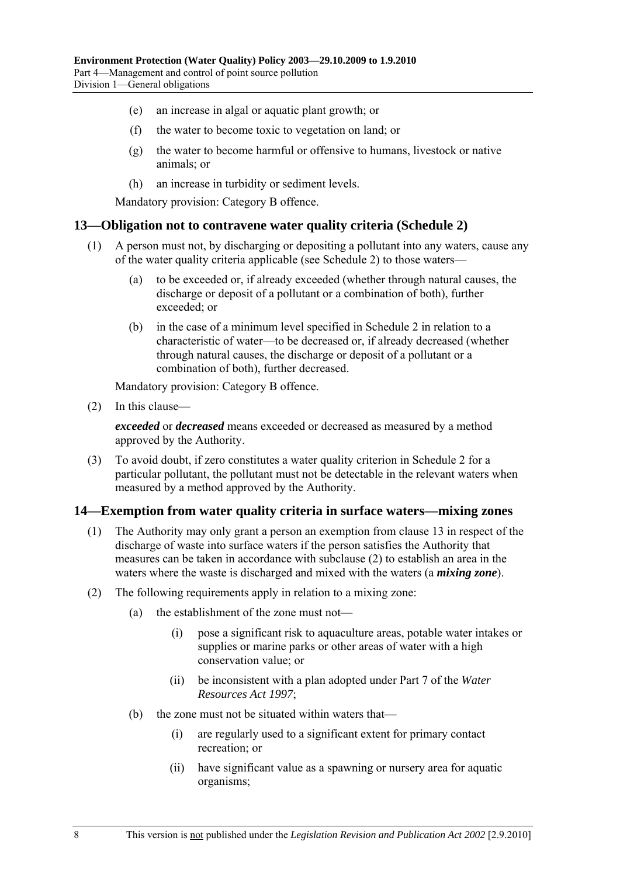- (e) an increase in algal or aquatic plant growth; or
- (f) the water to become toxic to vegetation on land; or
- (g) the water to become harmful or offensive to humans, livestock or native animals; or
- (h) an increase in turbidity or sediment levels.

#### **13—Obligation not to contravene water quality criteria (Schedule 2)**

- (1) A person must not, by discharging or depositing a pollutant into any waters, cause any of the water quality criteria applicable (see Schedule 2) to those waters—
	- (a) to be exceeded or, if already exceeded (whether through natural causes, the discharge or deposit of a pollutant or a combination of both), further exceeded; or
	- (b) in the case of a minimum level specified in Schedule 2 in relation to a characteristic of water—to be decreased or, if already decreased (whether through natural causes, the discharge or deposit of a pollutant or a combination of both), further decreased.

Mandatory provision: Category B offence.

(2) In this clause—

*exceeded* or *decreased* means exceeded or decreased as measured by a method approved by the Authority.

 (3) To avoid doubt, if zero constitutes a water quality criterion in Schedule 2 for a particular pollutant, the pollutant must not be detectable in the relevant waters when measured by a method approved by the Authority.

#### **14—Exemption from water quality criteria in surface waters—mixing zones**

- (1) The Authority may only grant a person an exemption from clause 13 in respect of the discharge of waste into surface waters if the person satisfies the Authority that measures can be taken in accordance with subclause (2) to establish an area in the waters where the waste is discharged and mixed with the waters (a *mixing zone*).
- (2) The following requirements apply in relation to a mixing zone:
	- (a) the establishment of the zone must not—
		- (i) pose a significant risk to aquaculture areas, potable water intakes or supplies or marine parks or other areas of water with a high conservation value; or
		- (ii) be inconsistent with a plan adopted under Part 7 of the *Water Resources Act 1997*;
	- (b) the zone must not be situated within waters that—
		- (i) are regularly used to a significant extent for primary contact recreation; or
		- (ii) have significant value as a spawning or nursery area for aquatic organisms;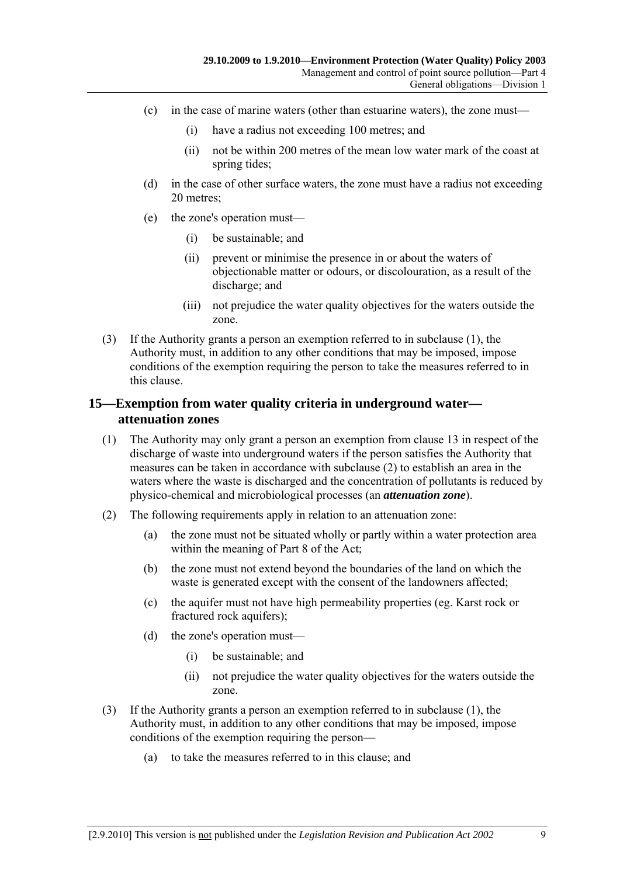- (c) in the case of marine waters (other than estuarine waters), the zone must—
	- (i) have a radius not exceeding 100 metres; and
	- (ii) not be within 200 metres of the mean low water mark of the coast at spring tides;
- (d) in the case of other surface waters, the zone must have a radius not exceeding 20 metres;
- (e) the zone's operation must—
	- (i) be sustainable; and
	- (ii) prevent or minimise the presence in or about the waters of objectionable matter or odours, or discolouration, as a result of the discharge; and
	- (iii) not prejudice the water quality objectives for the waters outside the zone.
- (3) If the Authority grants a person an exemption referred to in subclause (1), the Authority must, in addition to any other conditions that may be imposed, impose conditions of the exemption requiring the person to take the measures referred to in this clause.

## **15—Exemption from water quality criteria in underground water attenuation zones**

- (1) The Authority may only grant a person an exemption from clause 13 in respect of the discharge of waste into underground waters if the person satisfies the Authority that measures can be taken in accordance with subclause (2) to establish an area in the waters where the waste is discharged and the concentration of pollutants is reduced by physico-chemical and microbiological processes (an *attenuation zone*).
- (2) The following requirements apply in relation to an attenuation zone:
	- (a) the zone must not be situated wholly or partly within a water protection area within the meaning of Part 8 of the Act;
	- (b) the zone must not extend beyond the boundaries of the land on which the waste is generated except with the consent of the landowners affected;
	- (c) the aquifer must not have high permeability properties (eg. Karst rock or fractured rock aquifers);
	- (d) the zone's operation must—
		- (i) be sustainable; and
		- (ii) not prejudice the water quality objectives for the waters outside the zone.
- (3) If the Authority grants a person an exemption referred to in subclause (1), the Authority must, in addition to any other conditions that may be imposed, impose conditions of the exemption requiring the person—
	- (a) to take the measures referred to in this clause; and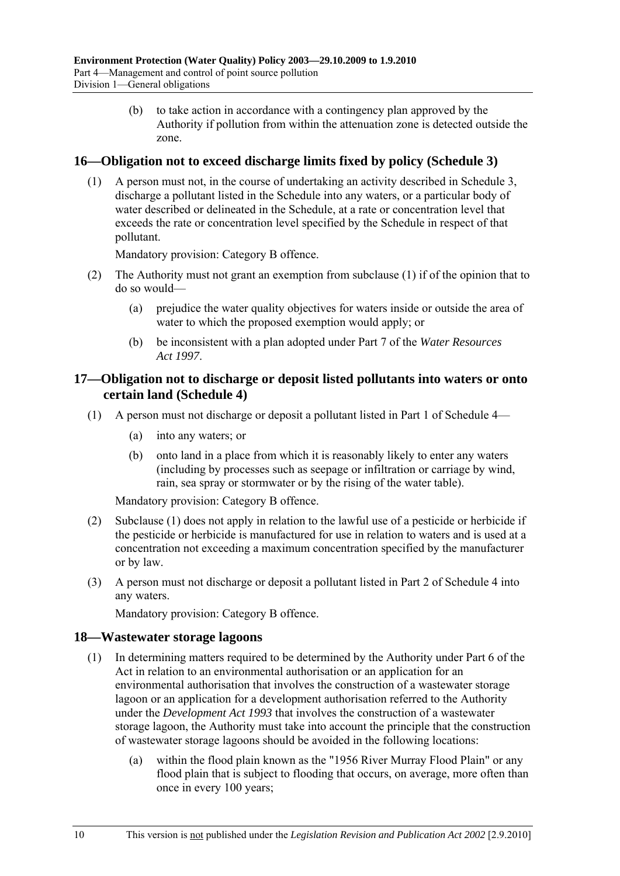(b) to take action in accordance with a contingency plan approved by the Authority if pollution from within the attenuation zone is detected outside the zone.

## **16—Obligation not to exceed discharge limits fixed by policy (Schedule 3)**

 (1) A person must not, in the course of undertaking an activity described in Schedule 3, discharge a pollutant listed in the Schedule into any waters, or a particular body of water described or delineated in the Schedule, at a rate or concentration level that exceeds the rate or concentration level specified by the Schedule in respect of that pollutant.

Mandatory provision: Category B offence.

- (2) The Authority must not grant an exemption from subclause (1) if of the opinion that to do so would—
	- (a) prejudice the water quality objectives for waters inside or outside the area of water to which the proposed exemption would apply; or
	- (b) be inconsistent with a plan adopted under Part 7 of the *Water Resources Act 1997*.

#### **17—Obligation not to discharge or deposit listed pollutants into waters or onto certain land (Schedule 4)**

- (1) A person must not discharge or deposit a pollutant listed in Part 1 of Schedule 4—
	- (a) into any waters; or
	- (b) onto land in a place from which it is reasonably likely to enter any waters (including by processes such as seepage or infiltration or carriage by wind, rain, sea spray or stormwater or by the rising of the water table).

Mandatory provision: Category B offence.

- (2) Subclause (1) does not apply in relation to the lawful use of a pesticide or herbicide if the pesticide or herbicide is manufactured for use in relation to waters and is used at a concentration not exceeding a maximum concentration specified by the manufacturer or by law.
- (3) A person must not discharge or deposit a pollutant listed in Part 2 of Schedule 4 into any waters.

Mandatory provision: Category B offence.

#### **18—Wastewater storage lagoons**

- (1) In determining matters required to be determined by the Authority under Part 6 of the Act in relation to an environmental authorisation or an application for an environmental authorisation that involves the construction of a wastewater storage lagoon or an application for a development authorisation referred to the Authority under the *Development Act 1993* that involves the construction of a wastewater storage lagoon, the Authority must take into account the principle that the construction of wastewater storage lagoons should be avoided in the following locations:
	- (a) within the flood plain known as the "1956 River Murray Flood Plain" or any flood plain that is subject to flooding that occurs, on average, more often than once in every 100 years;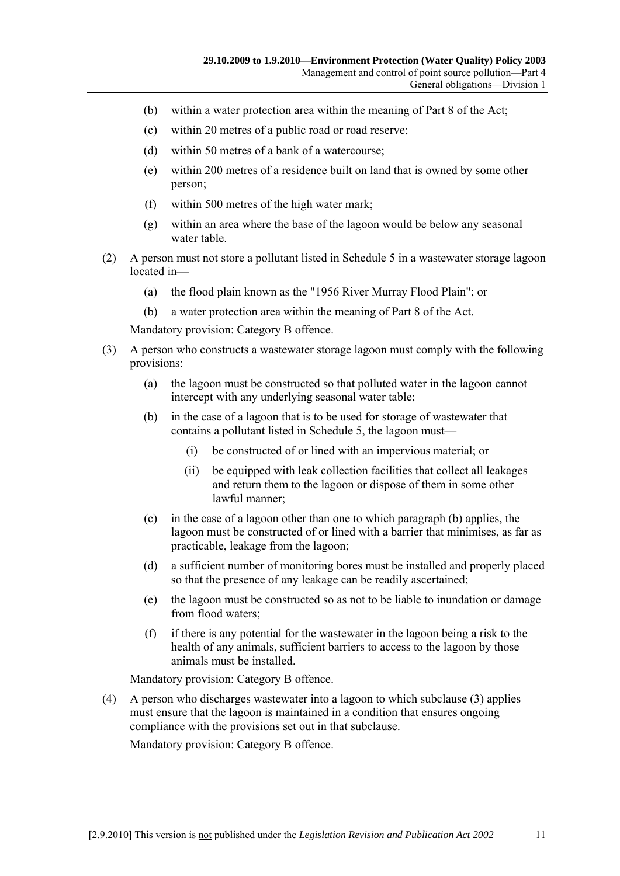- (b) within a water protection area within the meaning of Part 8 of the Act;
- (c) within 20 metres of a public road or road reserve;
- (d) within 50 metres of a bank of a watercourse;
- (e) within 200 metres of a residence built on land that is owned by some other person;
- (f) within 500 metres of the high water mark;
- (g) within an area where the base of the lagoon would be below any seasonal water table
- (2) A person must not store a pollutant listed in Schedule 5 in a wastewater storage lagoon located in—
	- (a) the flood plain known as the "1956 River Murray Flood Plain"; or
	- (b) a water protection area within the meaning of Part 8 of the Act.

- (3) A person who constructs a wastewater storage lagoon must comply with the following provisions:
	- (a) the lagoon must be constructed so that polluted water in the lagoon cannot intercept with any underlying seasonal water table;
	- (b) in the case of a lagoon that is to be used for storage of wastewater that contains a pollutant listed in Schedule 5, the lagoon must—
		- (i) be constructed of or lined with an impervious material; or
		- (ii) be equipped with leak collection facilities that collect all leakages and return them to the lagoon or dispose of them in some other lawful manner;
	- (c) in the case of a lagoon other than one to which paragraph (b) applies, the lagoon must be constructed of or lined with a barrier that minimises, as far as practicable, leakage from the lagoon;
	- (d) a sufficient number of monitoring bores must be installed and properly placed so that the presence of any leakage can be readily ascertained;
	- (e) the lagoon must be constructed so as not to be liable to inundation or damage from flood waters:
	- (f) if there is any potential for the wastewater in the lagoon being a risk to the health of any animals, sufficient barriers to access to the lagoon by those animals must be installed.

Mandatory provision: Category B offence.

 (4) A person who discharges wastewater into a lagoon to which subclause (3) applies must ensure that the lagoon is maintained in a condition that ensures ongoing compliance with the provisions set out in that subclause.

Mandatory provision: Category B offence.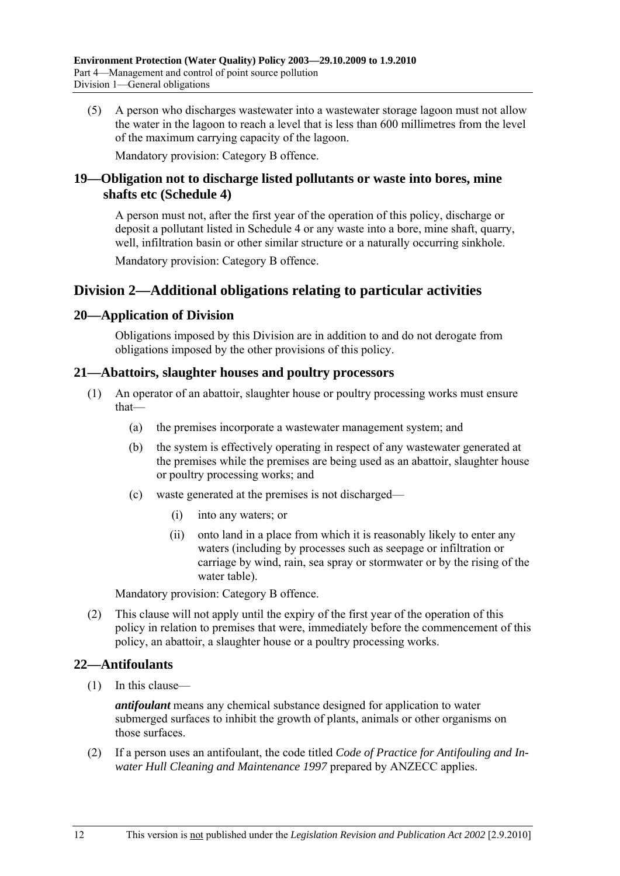(5) A person who discharges wastewater into a wastewater storage lagoon must not allow the water in the lagoon to reach a level that is less than 600 millimetres from the level of the maximum carrying capacity of the lagoon.

Mandatory provision: Category B offence.

## **19—Obligation not to discharge listed pollutants or waste into bores, mine shafts etc (Schedule 4)**

A person must not, after the first year of the operation of this policy, discharge or deposit a pollutant listed in Schedule 4 or any waste into a bore, mine shaft, quarry, well, infiltration basin or other similar structure or a naturally occurring sinkhole.

Mandatory provision: Category B offence.

## **Division 2—Additional obligations relating to particular activities**

#### **20—Application of Division**

Obligations imposed by this Division are in addition to and do not derogate from obligations imposed by the other provisions of this policy.

#### **21—Abattoirs, slaughter houses and poultry processors**

- (1) An operator of an abattoir, slaughter house or poultry processing works must ensure that—
	- (a) the premises incorporate a wastewater management system; and
	- (b) the system is effectively operating in respect of any wastewater generated at the premises while the premises are being used as an abattoir, slaughter house or poultry processing works; and
	- (c) waste generated at the premises is not discharged—
		- (i) into any waters; or
		- (ii) onto land in a place from which it is reasonably likely to enter any waters (including by processes such as seepage or infiltration or carriage by wind, rain, sea spray or stormwater or by the rising of the water table).

Mandatory provision: Category B offence.

 (2) This clause will not apply until the expiry of the first year of the operation of this policy in relation to premises that were, immediately before the commencement of this policy, an abattoir, a slaughter house or a poultry processing works.

#### **22—Antifoulants**

(1) In this clause—

*antifoulant* means any chemical substance designed for application to water submerged surfaces to inhibit the growth of plants, animals or other organisms on those surfaces.

 (2) If a person uses an antifoulant, the code titled *Code of Practice for Antifouling and Inwater Hull Cleaning and Maintenance 1997* prepared by ANZECC applies.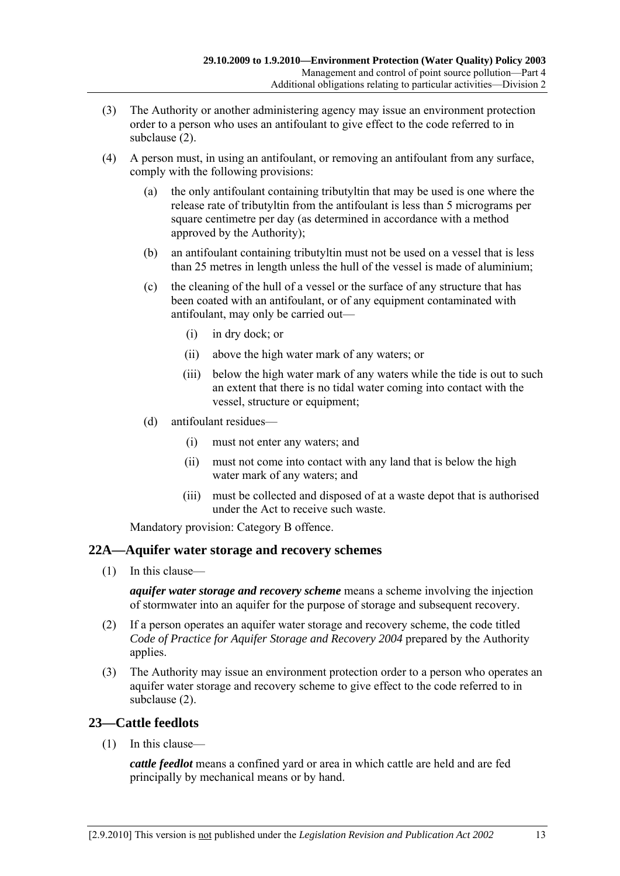- (3) The Authority or another administering agency may issue an environment protection order to a person who uses an antifoulant to give effect to the code referred to in subclause (2).
- (4) A person must, in using an antifoulant, or removing an antifoulant from any surface, comply with the following provisions:
	- (a) the only antifoulant containing tributyltin that may be used is one where the release rate of tributyltin from the antifoulant is less than 5 micrograms per square centimetre per day (as determined in accordance with a method approved by the Authority);
	- (b) an antifoulant containing tributyltin must not be used on a vessel that is less than 25 metres in length unless the hull of the vessel is made of aluminium;
	- (c) the cleaning of the hull of a vessel or the surface of any structure that has been coated with an antifoulant, or of any equipment contaminated with antifoulant, may only be carried out—
		- (i) in dry dock; or
		- (ii) above the high water mark of any waters; or
		- (iii) below the high water mark of any waters while the tide is out to such an extent that there is no tidal water coming into contact with the vessel, structure or equipment;
	- (d) antifoulant residues—
		- (i) must not enter any waters; and
		- (ii) must not come into contact with any land that is below the high water mark of any waters; and
		- (iii) must be collected and disposed of at a waste depot that is authorised under the Act to receive such waste.

#### **22A—Aquifer water storage and recovery schemes**

(1) In this clause—

*aquifer water storage and recovery scheme* means a scheme involving the injection of stormwater into an aquifer for the purpose of storage and subsequent recovery.

- (2) If a person operates an aquifer water storage and recovery scheme, the code titled *Code of Practice for Aquifer Storage and Recovery 2004* prepared by the Authority applies.
- (3) The Authority may issue an environment protection order to a person who operates an aquifer water storage and recovery scheme to give effect to the code referred to in subclause (2).

#### **23—Cattle feedlots**

(1) In this clause—

*cattle feedlot* means a confined yard or area in which cattle are held and are fed principally by mechanical means or by hand.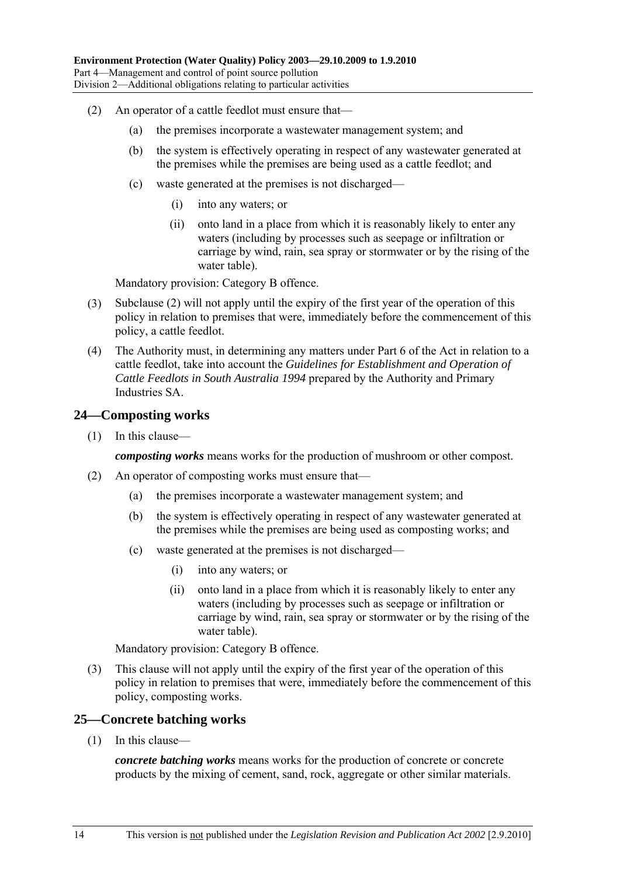- (2) An operator of a cattle feedlot must ensure that—
	- (a) the premises incorporate a wastewater management system; and
	- (b) the system is effectively operating in respect of any wastewater generated at the premises while the premises are being used as a cattle feedlot; and
	- (c) waste generated at the premises is not discharged—
		- (i) into any waters; or
		- (ii) onto land in a place from which it is reasonably likely to enter any waters (including by processes such as seepage or infiltration or carriage by wind, rain, sea spray or stormwater or by the rising of the water table).

- (3) Subclause (2) will not apply until the expiry of the first year of the operation of this policy in relation to premises that were, immediately before the commencement of this policy, a cattle feedlot.
- (4) The Authority must, in determining any matters under Part 6 of the Act in relation to a cattle feedlot, take into account the *Guidelines for Establishment and Operation of Cattle Feedlots in South Australia 1994* prepared by the Authority and Primary Industries SA.

#### **24—Composting works**

(1) In this clause—

*composting works* means works for the production of mushroom or other compost.

- (2) An operator of composting works must ensure that—
	- (a) the premises incorporate a wastewater management system; and
	- (b) the system is effectively operating in respect of any wastewater generated at the premises while the premises are being used as composting works; and
	- (c) waste generated at the premises is not discharged—
		- (i) into any waters; or
		- (ii) onto land in a place from which it is reasonably likely to enter any waters (including by processes such as seepage or infiltration or carriage by wind, rain, sea spray or stormwater or by the rising of the water table).

Mandatory provision: Category B offence.

 (3) This clause will not apply until the expiry of the first year of the operation of this policy in relation to premises that were, immediately before the commencement of this policy, composting works.

#### **25—Concrete batching works**

(1) In this clause—

*concrete batching works* means works for the production of concrete or concrete products by the mixing of cement, sand, rock, aggregate or other similar materials.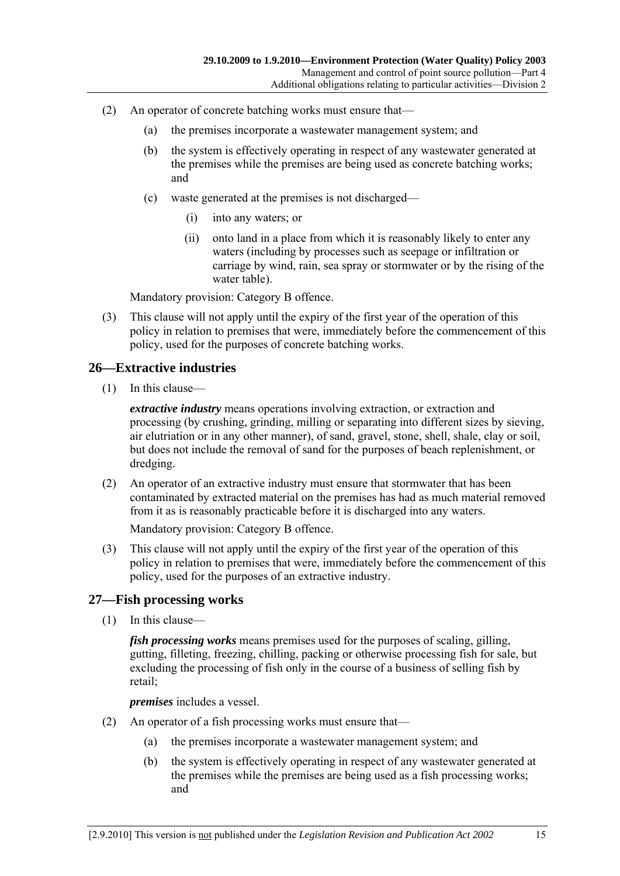- (2) An operator of concrete batching works must ensure that—
	- (a) the premises incorporate a wastewater management system; and
	- (b) the system is effectively operating in respect of any wastewater generated at the premises while the premises are being used as concrete batching works; and
	- (c) waste generated at the premises is not discharged—
		- (i) into any waters; or
		- (ii) onto land in a place from which it is reasonably likely to enter any waters (including by processes such as seepage or infiltration or carriage by wind, rain, sea spray or stormwater or by the rising of the water table).

 (3) This clause will not apply until the expiry of the first year of the operation of this policy in relation to premises that were, immediately before the commencement of this policy, used for the purposes of concrete batching works.

#### **26—Extractive industries**

(1) In this clause—

*extractive industry* means operations involving extraction, or extraction and processing (by crushing, grinding, milling or separating into different sizes by sieving, air elutriation or in any other manner), of sand, gravel, stone, shell, shale, clay or soil, but does not include the removal of sand for the purposes of beach replenishment, or dredging.

 (2) An operator of an extractive industry must ensure that stormwater that has been contaminated by extracted material on the premises has had as much material removed from it as is reasonably practicable before it is discharged into any waters.

Mandatory provision: Category B offence.

 (3) This clause will not apply until the expiry of the first year of the operation of this policy in relation to premises that were, immediately before the commencement of this policy, used for the purposes of an extractive industry.

#### **27—Fish processing works**

(1) In this clause—

*fish processing works* means premises used for the purposes of scaling, gilling, gutting, filleting, freezing, chilling, packing or otherwise processing fish for sale, but excluding the processing of fish only in the course of a business of selling fish by retail;

*premises* includes a vessel.

- (2) An operator of a fish processing works must ensure that—
	- (a) the premises incorporate a wastewater management system; and
	- (b) the system is effectively operating in respect of any wastewater generated at the premises while the premises are being used as a fish processing works; and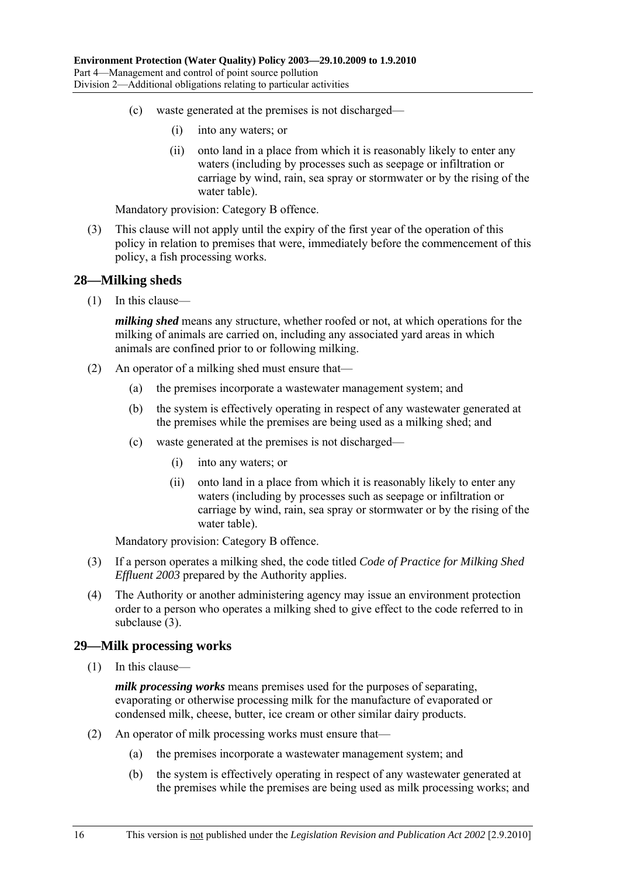- (c) waste generated at the premises is not discharged—
	- (i) into any waters; or
	- (ii) onto land in a place from which it is reasonably likely to enter any waters (including by processes such as seepage or infiltration or carriage by wind, rain, sea spray or stormwater or by the rising of the water table).

 (3) This clause will not apply until the expiry of the first year of the operation of this policy in relation to premises that were, immediately before the commencement of this policy, a fish processing works.

#### **28—Milking sheds**

(1) In this clause—

*milking shed* means any structure, whether roofed or not, at which operations for the milking of animals are carried on, including any associated yard areas in which animals are confined prior to or following milking.

- (2) An operator of a milking shed must ensure that—
	- (a) the premises incorporate a wastewater management system; and
	- (b) the system is effectively operating in respect of any wastewater generated at the premises while the premises are being used as a milking shed; and
	- (c) waste generated at the premises is not discharged—
		- (i) into any waters; or
		- (ii) onto land in a place from which it is reasonably likely to enter any waters (including by processes such as seepage or infiltration or carriage by wind, rain, sea spray or stormwater or by the rising of the water table).

Mandatory provision: Category B offence.

- (3) If a person operates a milking shed, the code titled *Code of Practice for Milking Shed Effluent 2003* prepared by the Authority applies.
- (4) The Authority or another administering agency may issue an environment protection order to a person who operates a milking shed to give effect to the code referred to in subclause (3).

#### **29—Milk processing works**

(1) In this clause—

*milk processing works* means premises used for the purposes of separating, evaporating or otherwise processing milk for the manufacture of evaporated or condensed milk, cheese, butter, ice cream or other similar dairy products.

- (2) An operator of milk processing works must ensure that—
	- (a) the premises incorporate a wastewater management system; and
	- (b) the system is effectively operating in respect of any wastewater generated at the premises while the premises are being used as milk processing works; and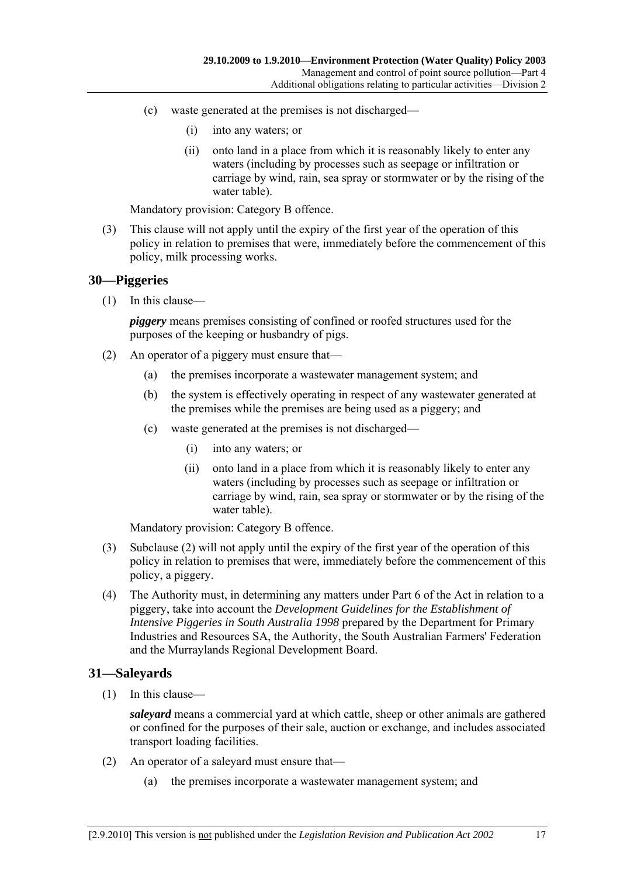- (c) waste generated at the premises is not discharged—
	- (i) into any waters; or
	- (ii) onto land in a place from which it is reasonably likely to enter any waters (including by processes such as seepage or infiltration or carriage by wind, rain, sea spray or stormwater or by the rising of the water table).

 (3) This clause will not apply until the expiry of the first year of the operation of this policy in relation to premises that were, immediately before the commencement of this policy, milk processing works.

#### **30—Piggeries**

(1) In this clause—

*piggery* means premises consisting of confined or roofed structures used for the purposes of the keeping or husbandry of pigs.

- (2) An operator of a piggery must ensure that—
	- (a) the premises incorporate a wastewater management system; and
	- (b) the system is effectively operating in respect of any wastewater generated at the premises while the premises are being used as a piggery; and
	- (c) waste generated at the premises is not discharged—
		- (i) into any waters; or
		- (ii) onto land in a place from which it is reasonably likely to enter any waters (including by processes such as seepage or infiltration or carriage by wind, rain, sea spray or stormwater or by the rising of the water table).

Mandatory provision: Category B offence.

- (3) Subclause (2) will not apply until the expiry of the first year of the operation of this policy in relation to premises that were, immediately before the commencement of this policy, a piggery.
- (4) The Authority must, in determining any matters under Part 6 of the Act in relation to a piggery, take into account the *Development Guidelines for the Establishment of Intensive Piggeries in South Australia 1998* prepared by the Department for Primary Industries and Resources SA, the Authority, the South Australian Farmers' Federation and the Murraylands Regional Development Board.

#### **31—Saleyards**

(1) In this clause—

*saleyard* means a commercial yard at which cattle, sheep or other animals are gathered or confined for the purposes of their sale, auction or exchange, and includes associated transport loading facilities.

- (2) An operator of a saleyard must ensure that—
	- (a) the premises incorporate a wastewater management system; and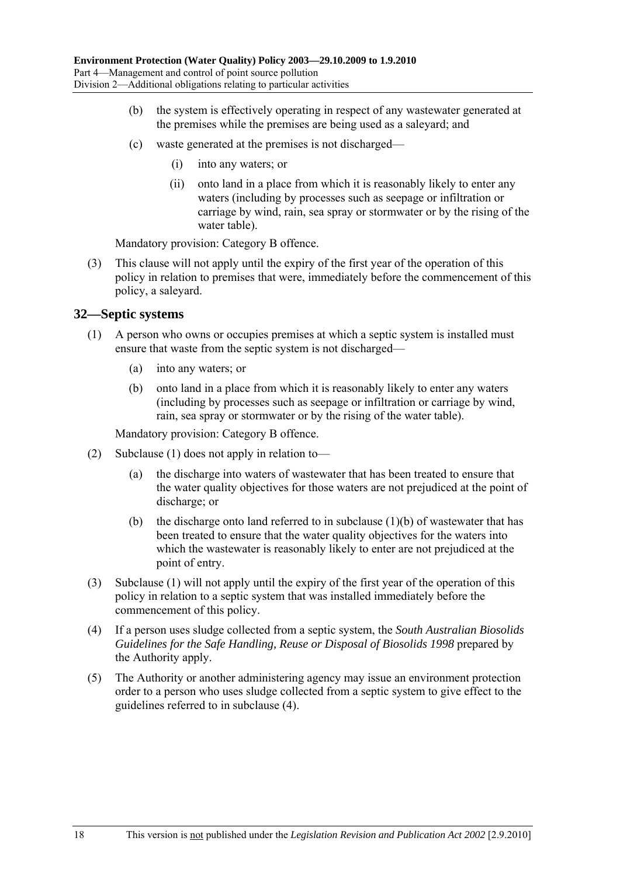- (b) the system is effectively operating in respect of any wastewater generated at the premises while the premises are being used as a saleyard; and
- (c) waste generated at the premises is not discharged—
	- (i) into any waters; or
	- (ii) onto land in a place from which it is reasonably likely to enter any waters (including by processes such as seepage or infiltration or carriage by wind, rain, sea spray or stormwater or by the rising of the water table).

 (3) This clause will not apply until the expiry of the first year of the operation of this policy in relation to premises that were, immediately before the commencement of this policy, a saleyard.

#### **32—Septic systems**

- (1) A person who owns or occupies premises at which a septic system is installed must ensure that waste from the septic system is not discharged—
	- (a) into any waters; or
	- (b) onto land in a place from which it is reasonably likely to enter any waters (including by processes such as seepage or infiltration or carriage by wind, rain, sea spray or stormwater or by the rising of the water table).

Mandatory provision: Category B offence.

- (2) Subclause (1) does not apply in relation to—
	- (a) the discharge into waters of wastewater that has been treated to ensure that the water quality objectives for those waters are not prejudiced at the point of discharge; or
	- (b) the discharge onto land referred to in subclause  $(1)(b)$  of wastewater that has been treated to ensure that the water quality objectives for the waters into which the wastewater is reasonably likely to enter are not prejudiced at the point of entry.
- (3) Subclause (1) will not apply until the expiry of the first year of the operation of this policy in relation to a septic system that was installed immediately before the commencement of this policy.
- (4) If a person uses sludge collected from a septic system, the *South Australian Biosolids Guidelines for the Safe Handling, Reuse or Disposal of Biosolids 1998* prepared by the Authority apply.
- (5) The Authority or another administering agency may issue an environment protection order to a person who uses sludge collected from a septic system to give effect to the guidelines referred to in subclause (4).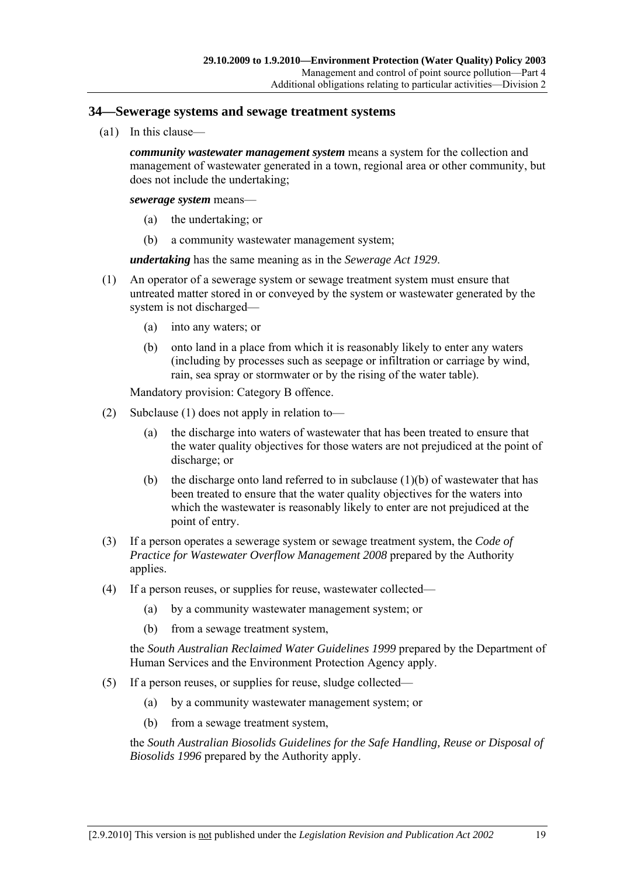#### **34—Sewerage systems and sewage treatment systems**

(a1) In this clause—

*community wastewater management system* means a system for the collection and management of wastewater generated in a town, regional area or other community, but does not include the undertaking;

*sewerage system* means—

- (a) the undertaking; or
- (b) a community wastewater management system;

*undertaking* has the same meaning as in the *Sewerage Act 1929*.

- (1) An operator of a sewerage system or sewage treatment system must ensure that untreated matter stored in or conveyed by the system or wastewater generated by the system is not discharged—
	- (a) into any waters; or
	- (b) onto land in a place from which it is reasonably likely to enter any waters (including by processes such as seepage or infiltration or carriage by wind, rain, sea spray or stormwater or by the rising of the water table).

Mandatory provision: Category B offence.

- (2) Subclause (1) does not apply in relation to—
	- (a) the discharge into waters of wastewater that has been treated to ensure that the water quality objectives for those waters are not prejudiced at the point of discharge; or
	- (b) the discharge onto land referred to in subclause  $(1)(b)$  of wastewater that has been treated to ensure that the water quality objectives for the waters into which the wastewater is reasonably likely to enter are not prejudiced at the point of entry.
- (3) If a person operates a sewerage system or sewage treatment system, the *Code of Practice for Wastewater Overflow Management 2008* prepared by the Authority applies.
- (4) If a person reuses, or supplies for reuse, wastewater collected—
	- (a) by a community wastewater management system; or
	- (b) from a sewage treatment system,

the *South Australian Reclaimed Water Guidelines 1999* prepared by the Department of Human Services and the Environment Protection Agency apply.

- (5) If a person reuses, or supplies for reuse, sludge collected—
	- (a) by a community wastewater management system; or
	- (b) from a sewage treatment system,

the *South Australian Biosolids Guidelines for the Safe Handling, Reuse or Disposal of Biosolids 1996* prepared by the Authority apply.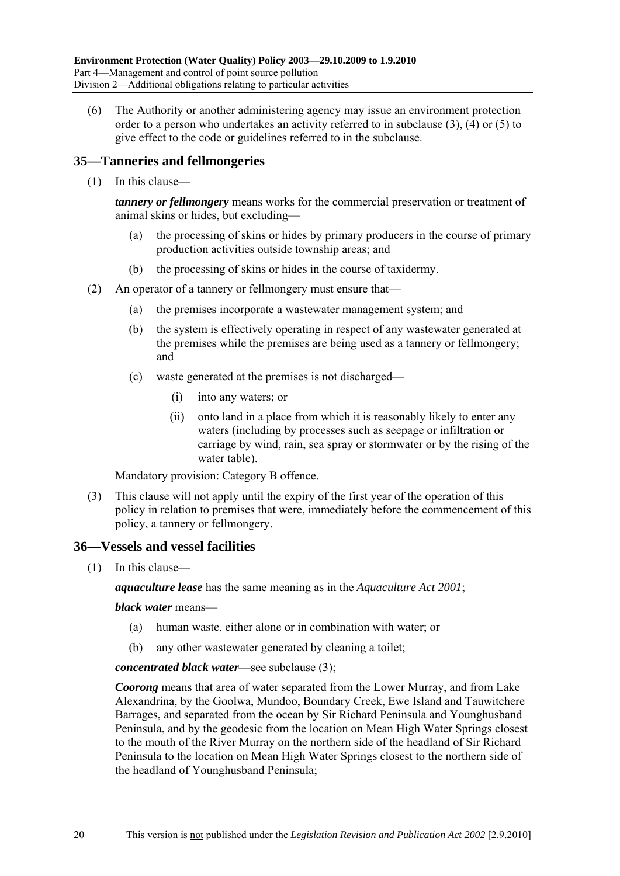(6) The Authority or another administering agency may issue an environment protection order to a person who undertakes an activity referred to in subclause (3), (4) or (5) to give effect to the code or guidelines referred to in the subclause.

## **35—Tanneries and fellmongeries**

(1) In this clause—

*tannery or fellmongery* means works for the commercial preservation or treatment of animal skins or hides, but excluding—

- (a) the processing of skins or hides by primary producers in the course of primary production activities outside township areas; and
- (b) the processing of skins or hides in the course of taxidermy.
- (2) An operator of a tannery or fellmongery must ensure that—
	- (a) the premises incorporate a wastewater management system; and
	- (b) the system is effectively operating in respect of any wastewater generated at the premises while the premises are being used as a tannery or fellmongery; and
	- (c) waste generated at the premises is not discharged—
		- (i) into any waters; or
		- (ii) onto land in a place from which it is reasonably likely to enter any waters (including by processes such as seepage or infiltration or carriage by wind, rain, sea spray or stormwater or by the rising of the water table).

Mandatory provision: Category B offence.

 (3) This clause will not apply until the expiry of the first year of the operation of this policy in relation to premises that were, immediately before the commencement of this policy, a tannery or fellmongery.

#### **36—Vessels and vessel facilities**

(1) In this clause—

*aquaculture lease* has the same meaning as in the *Aquaculture Act 2001*;

#### *black water* means—

- (a) human waste, either alone or in combination with water; or
- (b) any other wastewater generated by cleaning a toilet;

#### *concentrated black water*—see subclause (3);

*Coorong* means that area of water separated from the Lower Murray, and from Lake Alexandrina, by the Goolwa, Mundoo, Boundary Creek, Ewe Island and Tauwitchere Barrages, and separated from the ocean by Sir Richard Peninsula and Younghusband Peninsula, and by the geodesic from the location on Mean High Water Springs closest to the mouth of the River Murray on the northern side of the headland of Sir Richard Peninsula to the location on Mean High Water Springs closest to the northern side of the headland of Younghusband Peninsula;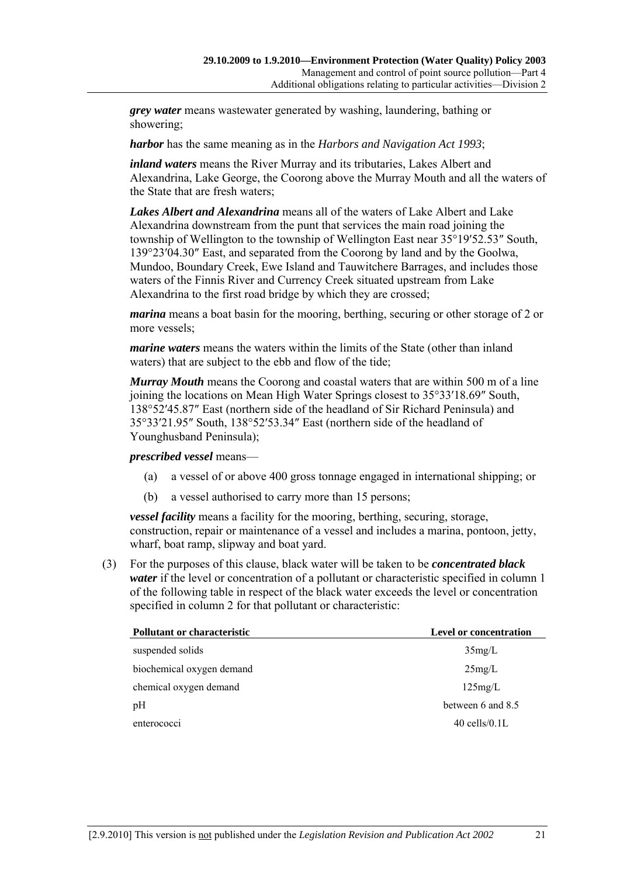*grey water* means wastewater generated by washing, laundering, bathing or showering;

*harbor* has the same meaning as in the *Harbors and Navigation Act 1993*;

*inland waters* means the River Murray and its tributaries, Lakes Albert and Alexandrina, Lake George, the Coorong above the Murray Mouth and all the waters of the State that are fresh waters;

*Lakes Albert and Alexandrina* means all of the waters of Lake Albert and Lake Alexandrina downstream from the punt that services the main road joining the township of Wellington to the township of Wellington East near 35°19′52.53″ South, 139°23′04.30″ East, and separated from the Coorong by land and by the Goolwa, Mundoo, Boundary Creek, Ewe Island and Tauwitchere Barrages, and includes those waters of the Finnis River and Currency Creek situated upstream from Lake Alexandrina to the first road bridge by which they are crossed;

*marina* means a boat basin for the mooring, berthing, securing or other storage of 2 or more vessels;

*marine waters* means the waters within the limits of the State (other than inland waters) that are subject to the ebb and flow of the tide;

*Murray Mouth* means the Coorong and coastal waters that are within 500 m of a line joining the locations on Mean High Water Springs closest to 35°33′18.69″ South, 138°52′45.87″ East (northern side of the headland of Sir Richard Peninsula) and 35°33′21.95″ South, 138°52′53.34″ East (northern side of the headland of Younghusband Peninsula);

#### *prescribed vessel* means—

- (a) a vessel of or above 400 gross tonnage engaged in international shipping; or
- (b) a vessel authorised to carry more than 15 persons;

*vessel facility* means a facility for the mooring, berthing, securing, storage, construction, repair or maintenance of a vessel and includes a marina, pontoon, jetty, wharf, boat ramp, slipway and boat yard.

 (3) For the purposes of this clause, black water will be taken to be *concentrated black water* if the level or concentration of a pollutant or characteristic specified in column 1 of the following table in respect of the black water exceeds the level or concentration specified in column 2 for that pollutant or characteristic:

| <b>Level or concentration</b> |
|-------------------------------|
| 35mg/L                        |
| 25mg/L                        |
| 125mg/L                       |
| between 6 and 8.5             |
| $40$ cells/ $0.1$ L           |
|                               |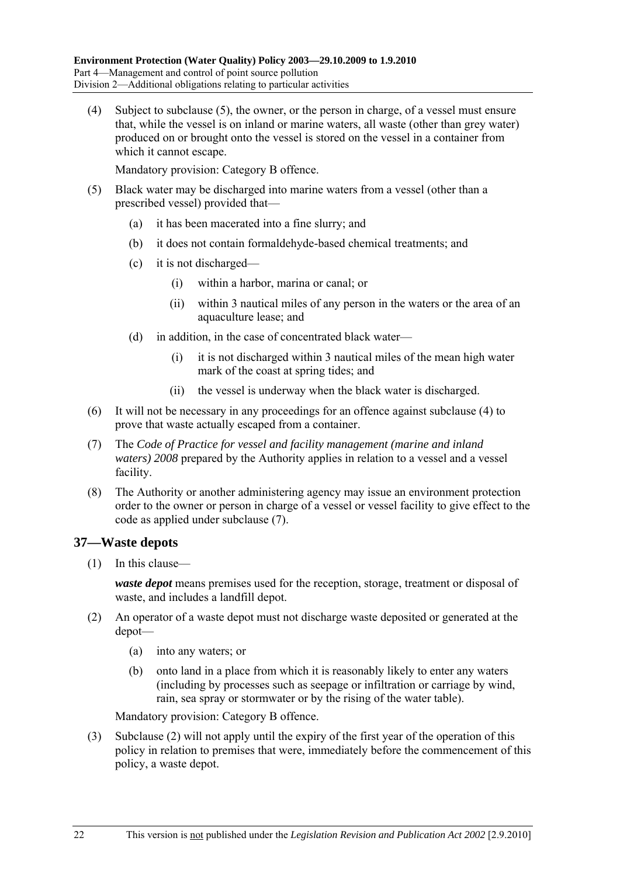(4) Subject to subclause (5), the owner, or the person in charge, of a vessel must ensure that, while the vessel is on inland or marine waters, all waste (other than grey water) produced on or brought onto the vessel is stored on the vessel in a container from which it cannot escape.

Mandatory provision: Category B offence.

- (5) Black water may be discharged into marine waters from a vessel (other than a prescribed vessel) provided that—
	- (a) it has been macerated into a fine slurry; and
	- (b) it does not contain formaldehyde-based chemical treatments; and
	- (c) it is not discharged—
		- (i) within a harbor, marina or canal; or
		- (ii) within 3 nautical miles of any person in the waters or the area of an aquaculture lease; and
	- (d) in addition, in the case of concentrated black water—
		- (i) it is not discharged within 3 nautical miles of the mean high water mark of the coast at spring tides; and
		- (ii) the vessel is underway when the black water is discharged.
- (6) It will not be necessary in any proceedings for an offence against subclause (4) to prove that waste actually escaped from a container.
- (7) The *Code of Practice for vessel and facility management (marine and inland waters) 2008* prepared by the Authority applies in relation to a vessel and a vessel facility.
- (8) The Authority or another administering agency may issue an environment protection order to the owner or person in charge of a vessel or vessel facility to give effect to the code as applied under subclause (7).

## **37—Waste depots**

(1) In this clause—

*waste depot* means premises used for the reception, storage, treatment or disposal of waste, and includes a landfill depot.

- (2) An operator of a waste depot must not discharge waste deposited or generated at the depot—
	- (a) into any waters; or
	- (b) onto land in a place from which it is reasonably likely to enter any waters (including by processes such as seepage or infiltration or carriage by wind, rain, sea spray or stormwater or by the rising of the water table).

Mandatory provision: Category B offence.

 (3) Subclause (2) will not apply until the expiry of the first year of the operation of this policy in relation to premises that were, immediately before the commencement of this policy, a waste depot.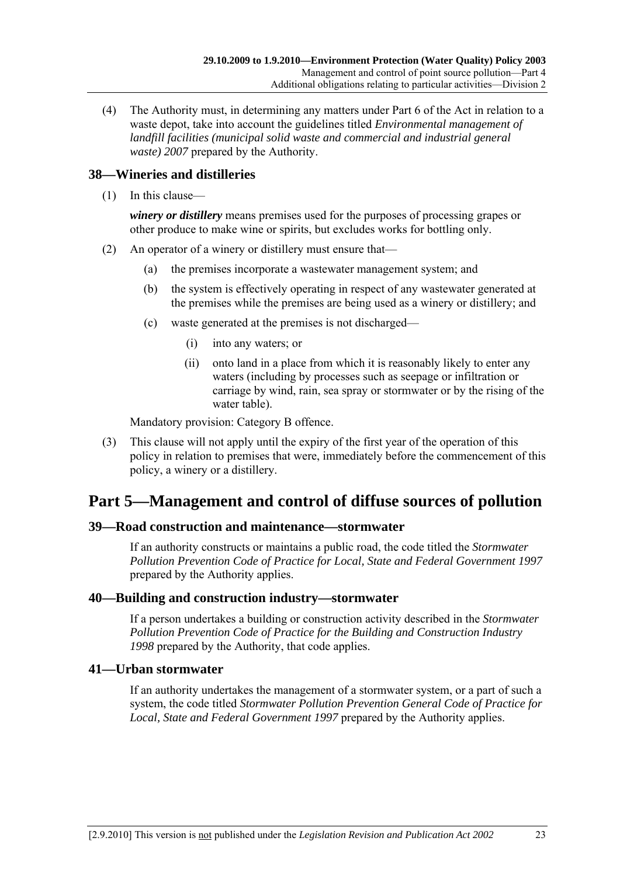(4) The Authority must, in determining any matters under Part 6 of the Act in relation to a waste depot, take into account the guidelines titled *Environmental management of landfill facilities (municipal solid waste and commercial and industrial general waste) 2007* prepared by the Authority.

## **38—Wineries and distilleries**

(1) In this clause—

*winery or distillery* means premises used for the purposes of processing grapes or other produce to make wine or spirits, but excludes works for bottling only.

- (2) An operator of a winery or distillery must ensure that—
	- (a) the premises incorporate a wastewater management system; and
	- (b) the system is effectively operating in respect of any wastewater generated at the premises while the premises are being used as a winery or distillery; and
	- (c) waste generated at the premises is not discharged—
		- (i) into any waters; or
		- (ii) onto land in a place from which it is reasonably likely to enter any waters (including by processes such as seepage or infiltration or carriage by wind, rain, sea spray or stormwater or by the rising of the water table).

Mandatory provision: Category B offence.

 (3) This clause will not apply until the expiry of the first year of the operation of this policy in relation to premises that were, immediately before the commencement of this policy, a winery or a distillery.

# **Part 5—Management and control of diffuse sources of pollution**

#### **39—Road construction and maintenance—stormwater**

If an authority constructs or maintains a public road, the code titled the *Stormwater Pollution Prevention Code of Practice for Local, State and Federal Government 1997* prepared by the Authority applies.

#### **40—Building and construction industry—stormwater**

If a person undertakes a building or construction activity described in the *Stormwater Pollution Prevention Code of Practice for the Building and Construction Industry 1998* prepared by the Authority, that code applies.

#### **41—Urban stormwater**

If an authority undertakes the management of a stormwater system, or a part of such a system, the code titled *Stormwater Pollution Prevention General Code of Practice for Local, State and Federal Government 1997* prepared by the Authority applies.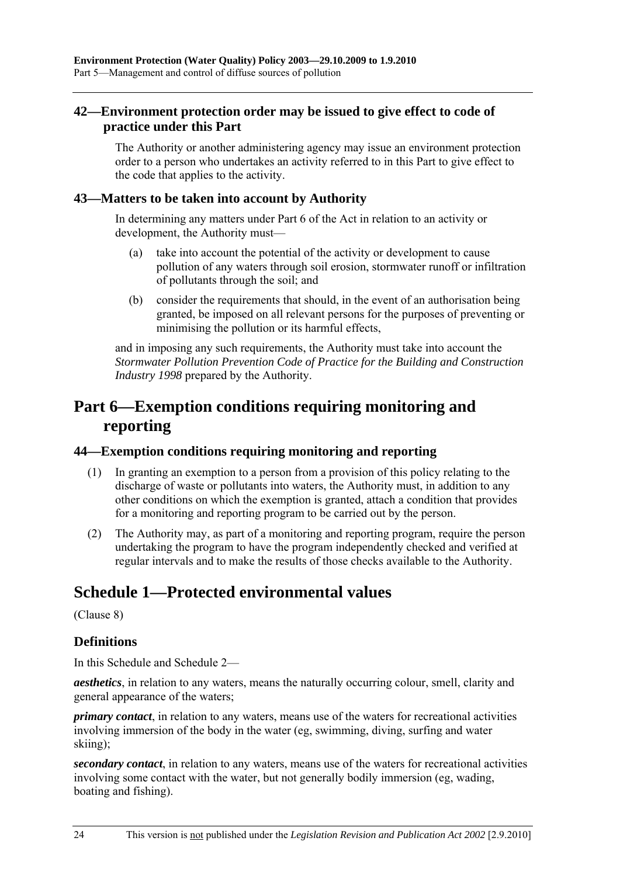## **42—Environment protection order may be issued to give effect to code of practice under this Part**

The Authority or another administering agency may issue an environment protection order to a person who undertakes an activity referred to in this Part to give effect to the code that applies to the activity.

#### **43—Matters to be taken into account by Authority**

In determining any matters under Part 6 of the Act in relation to an activity or development, the Authority must—

- (a) take into account the potential of the activity or development to cause pollution of any waters through soil erosion, stormwater runoff or infiltration of pollutants through the soil; and
- (b) consider the requirements that should, in the event of an authorisation being granted, be imposed on all relevant persons for the purposes of preventing or minimising the pollution or its harmful effects,

and in imposing any such requirements, the Authority must take into account the *Stormwater Pollution Prevention Code of Practice for the Building and Construction Industry 1998* prepared by the Authority.

# **Part 6—Exemption conditions requiring monitoring and reporting**

#### **44—Exemption conditions requiring monitoring and reporting**

- (1) In granting an exemption to a person from a provision of this policy relating to the discharge of waste or pollutants into waters, the Authority must, in addition to any other conditions on which the exemption is granted, attach a condition that provides for a monitoring and reporting program to be carried out by the person.
- (2) The Authority may, as part of a monitoring and reporting program, require the person undertaking the program to have the program independently checked and verified at regular intervals and to make the results of those checks available to the Authority.

# **Schedule 1—Protected environmental values**

(Clause 8)

## **Definitions**

In this Schedule and Schedule 2—

*aesthetics*, in relation to any waters, means the naturally occurring colour, smell, clarity and general appearance of the waters;

*primary contact*, in relation to any waters, means use of the waters for recreational activities involving immersion of the body in the water (eg, swimming, diving, surfing and water skiing);

*secondary contact*, in relation to any waters, means use of the waters for recreational activities involving some contact with the water, but not generally bodily immersion (eg, wading, boating and fishing).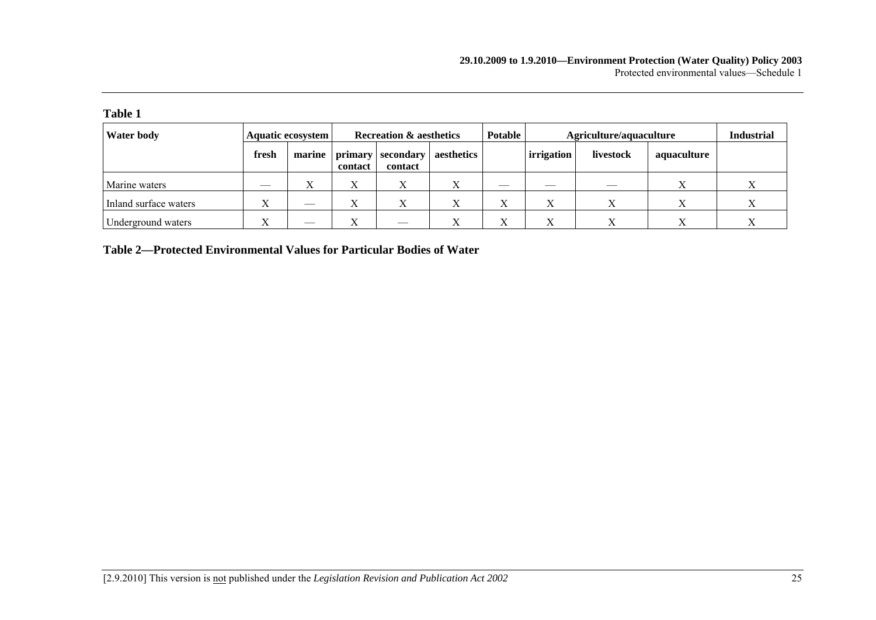| <b>Water body</b>     |       | Aquatic ecosystem | <b>Recreation &amp; aesthetics</b> |                                | <b>Potable</b> | Agriculture/aquaculture  |            |           | <b>Industrial</b> |  |
|-----------------------|-------|-------------------|------------------------------------|--------------------------------|----------------|--------------------------|------------|-----------|-------------------|--|
|                       | fresh | marine            | contact                            | primary   secondary<br>contact | aesthetics     |                          | irrigation | livestock | aquaculture       |  |
| Marine waters         |       | Х                 | л                                  | X                              |                |                          |            |           |                   |  |
| Inland surface waters | л     | __                |                                    | Х                              | Х              | $\mathbf v$<br>$\Lambda$ | $\Lambda$  |           |                   |  |
| Underground waters    |       | ___               |                                    | __                             |                | $\Lambda$                |            |           |                   |  |

**Table 2—Protected Environmental Values for Particular Bodies of Water**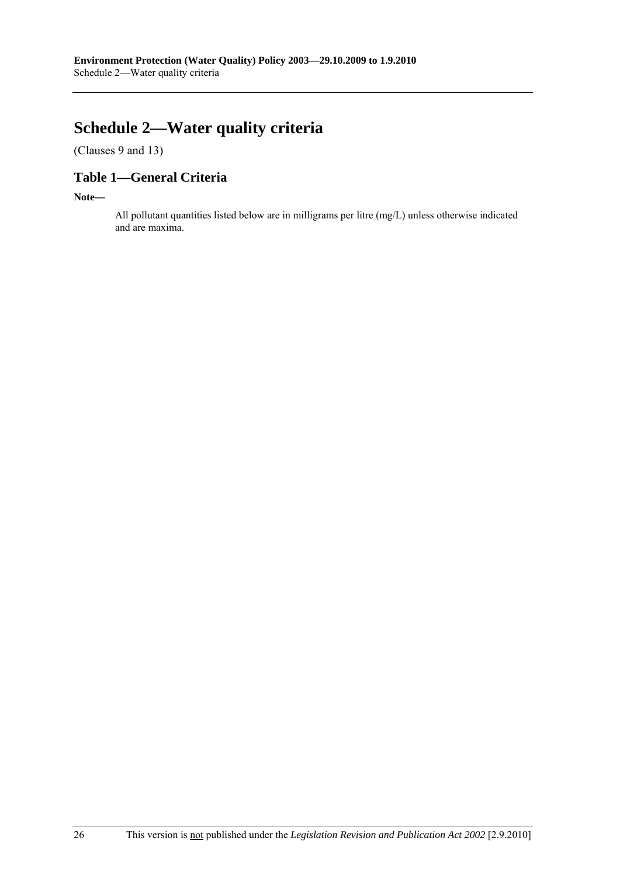# **Schedule 2—Water quality criteria**

(Clauses 9 and 13)

# **Table 1—General Criteria**

**Note—** 

All pollutant quantities listed below are in milligrams per litre (mg/L) unless otherwise indicated and are maxima.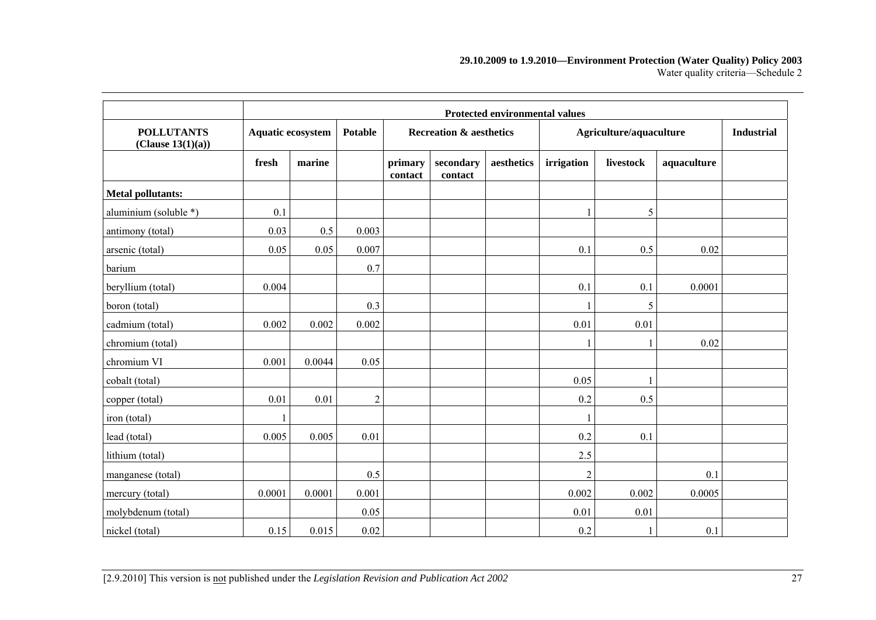#### **29.10.2009 to 1.9.2010—Environment Protection (Water Quality) Policy 2003**  Water quality criteria—Schedule 2

|                                        | <b>Protected environmental values</b> |        |                |                    |                                    |            |                |                         |             |  |  |
|----------------------------------------|---------------------------------------|--------|----------------|--------------------|------------------------------------|------------|----------------|-------------------------|-------------|--|--|
| <b>POLLUTANTS</b><br>(Clause 13(1)(a)) | Aquatic ecosystem                     |        | <b>Potable</b> |                    | <b>Recreation &amp; aesthetics</b> |            |                | Agriculture/aquaculture |             |  |  |
|                                        | fresh                                 | marine |                | primary<br>contact | secondary<br>contact               | aesthetics | irrigation     | livestock               | aquaculture |  |  |
| <b>Metal pollutants:</b>               |                                       |        |                |                    |                                    |            |                |                         |             |  |  |
| aluminium (soluble *)                  | 0.1                                   |        |                |                    |                                    |            |                | 5                       |             |  |  |
| antimony (total)                       | 0.03                                  | 0.5    | 0.003          |                    |                                    |            |                |                         |             |  |  |
| arsenic (total)                        | 0.05                                  | 0.05   | 0.007          |                    |                                    |            | 0.1            | 0.5                     | 0.02        |  |  |
| barium                                 |                                       |        | 0.7            |                    |                                    |            |                |                         |             |  |  |
| beryllium (total)                      | 0.004                                 |        |                |                    |                                    |            | 0.1            | 0.1                     | 0.0001      |  |  |
| boron (total)                          |                                       |        | 0.3            |                    |                                    |            |                | 5                       |             |  |  |
| cadmium (total)                        | 0.002                                 | 0.002  | 0.002          |                    |                                    |            | 0.01           | 0.01                    |             |  |  |
| chromium (total)                       |                                       |        |                |                    |                                    |            |                |                         | 0.02        |  |  |
| chromium VI                            | 0.001                                 | 0.0044 | 0.05           |                    |                                    |            |                |                         |             |  |  |
| cobalt (total)                         |                                       |        |                |                    |                                    |            | 0.05           |                         |             |  |  |
| copper (total)                         | 0.01                                  | 0.01   | $\overline{2}$ |                    |                                    |            | 0.2            | 0.5                     |             |  |  |
| iron (total)                           |                                       |        |                |                    |                                    |            |                |                         |             |  |  |
| lead (total)                           | 0.005                                 | 0.005  | 0.01           |                    |                                    |            | 0.2            | 0.1                     |             |  |  |
| lithium (total)                        |                                       |        |                |                    |                                    |            | 2.5            |                         |             |  |  |
| manganese (total)                      |                                       |        | 0.5            |                    |                                    |            | $\overline{c}$ |                         | 0.1         |  |  |
| mercury (total)                        | 0.0001                                | 0.0001 | 0.001          |                    |                                    |            | 0.002          | 0.002                   | 0.0005      |  |  |
| molybdenum (total)                     |                                       |        | 0.05           |                    |                                    |            | 0.01           | 0.01                    |             |  |  |
| nickel (total)                         | 0.15                                  | 0.015  | 0.02           |                    |                                    |            | 0.2            |                         | 0.1         |  |  |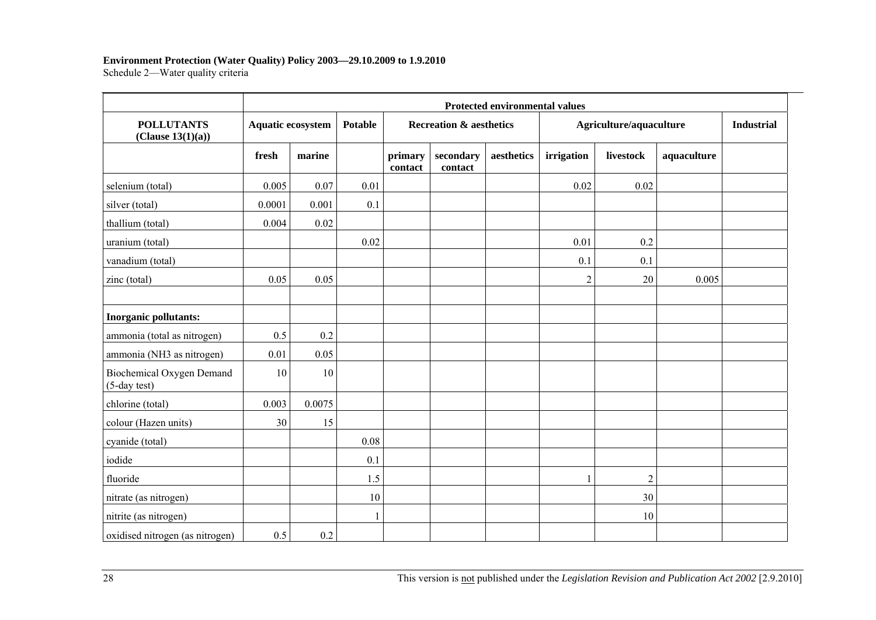#### **Environment Protection (Water Quality) Policy 2003—29.10.2009 to 1.9.2010**

Schedule 2—Water quality criteria

|                                                 | <b>Protected environmental values</b> |        |                |                    |                                    |            |                |                         |             |  |  |  |
|-------------------------------------------------|---------------------------------------|--------|----------------|--------------------|------------------------------------|------------|----------------|-------------------------|-------------|--|--|--|
| <b>POLLUTANTS</b><br>(Clause 13(1)(a))          | Aquatic ecosystem                     |        | <b>Potable</b> |                    | <b>Recreation &amp; aesthetics</b> |            |                | Agriculture/aquaculture |             |  |  |  |
|                                                 | fresh                                 | marine |                | primary<br>contact | secondary<br>contact               | aesthetics | irrigation     | livestock               | aquaculture |  |  |  |
| selenium (total)                                | 0.005                                 | 0.07   | 0.01           |                    |                                    |            | 0.02           | 0.02                    |             |  |  |  |
| silver (total)                                  | 0.0001                                | 0.001  | 0.1            |                    |                                    |            |                |                         |             |  |  |  |
| thallium (total)                                | 0.004                                 | 0.02   |                |                    |                                    |            |                |                         |             |  |  |  |
| uranium (total)                                 |                                       |        | 0.02           |                    |                                    |            | 0.01           | 0.2                     |             |  |  |  |
| vanadium (total)                                |                                       |        |                |                    |                                    |            | 0.1            | 0.1                     |             |  |  |  |
| zinc (total)                                    | 0.05                                  | 0.05   |                |                    |                                    |            | $\overline{c}$ | 20                      | 0.005       |  |  |  |
| Inorganic pollutants:                           |                                       |        |                |                    |                                    |            |                |                         |             |  |  |  |
| ammonia (total as nitrogen)                     | 0.5                                   | 0.2    |                |                    |                                    |            |                |                         |             |  |  |  |
| ammonia (NH3 as nitrogen)                       | 0.01                                  | 0.05   |                |                    |                                    |            |                |                         |             |  |  |  |
| Biochemical Oxygen Demand<br>$(5$ -day test $)$ | 10                                    | 10     |                |                    |                                    |            |                |                         |             |  |  |  |
| chlorine (total)                                | 0.003                                 | 0.0075 |                |                    |                                    |            |                |                         |             |  |  |  |
| colour (Hazen units)                            | 30                                    | 15     |                |                    |                                    |            |                |                         |             |  |  |  |
| cyanide (total)                                 |                                       |        | $0.08\,$       |                    |                                    |            |                |                         |             |  |  |  |
| iodide                                          |                                       |        | 0.1            |                    |                                    |            |                |                         |             |  |  |  |
| fluoride                                        |                                       |        | 1.5            |                    |                                    |            |                | $\boldsymbol{2}$        |             |  |  |  |
| nitrate (as nitrogen)                           |                                       |        | $10\,$         |                    |                                    |            |                | 30                      |             |  |  |  |
| nitrite (as nitrogen)                           |                                       |        | 1              |                    |                                    |            |                | 10                      |             |  |  |  |
| oxidised nitrogen (as nitrogen)                 | 0.5                                   | 0.2    |                |                    |                                    |            |                |                         |             |  |  |  |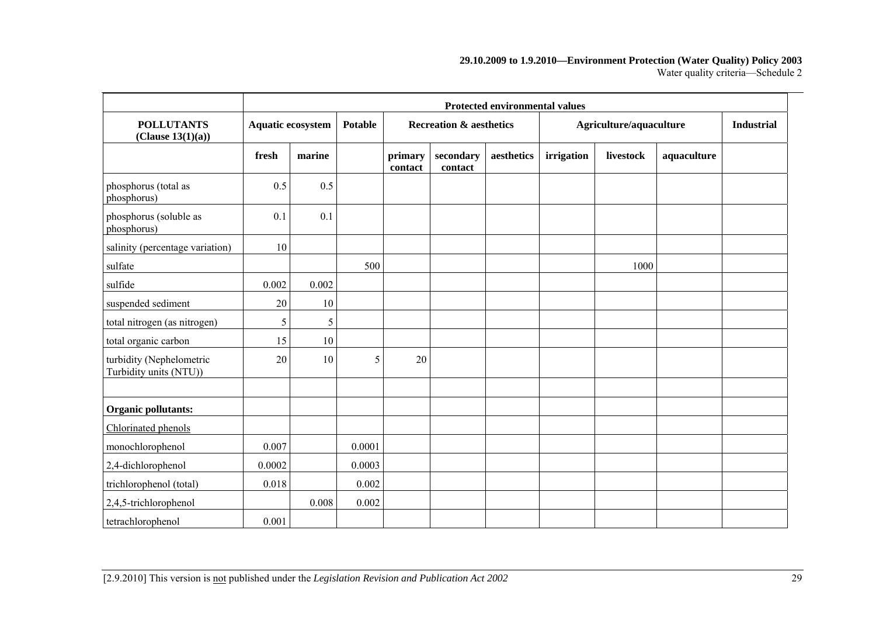#### **29.10.2009 to 1.9.2010—Environment Protection (Water Quality) Policy 2003**  Water quality criteria—Schedule 2

|                                                    | <b>Protected environmental values</b> |        |         |                    |                                    |            |            |                         |             |                   |
|----------------------------------------------------|---------------------------------------|--------|---------|--------------------|------------------------------------|------------|------------|-------------------------|-------------|-------------------|
| <b>POLLUTANTS</b><br>(Clause 13(1)(a))             | <b>Aquatic ecosystem</b>              |        | Potable |                    | <b>Recreation &amp; aesthetics</b> |            |            | Agriculture/aquaculture |             | <b>Industrial</b> |
|                                                    | fresh                                 | marine |         | primary<br>contact | secondary<br>contact               | aesthetics | irrigation | livestock               | aquaculture |                   |
| phosphorus (total as<br>phosphorus)                | 0.5                                   | 0.5    |         |                    |                                    |            |            |                         |             |                   |
| phosphorus (soluble as<br>phosphorus)              | 0.1                                   | 0.1    |         |                    |                                    |            |            |                         |             |                   |
| salinity (percentage variation)                    | 10                                    |        |         |                    |                                    |            |            |                         |             |                   |
| sulfate                                            |                                       |        | 500     |                    |                                    |            |            | 1000                    |             |                   |
| sulfide                                            | 0.002                                 | 0.002  |         |                    |                                    |            |            |                         |             |                   |
| suspended sediment                                 | 20                                    | 10     |         |                    |                                    |            |            |                         |             |                   |
| total nitrogen (as nitrogen)                       | 5                                     | 5      |         |                    |                                    |            |            |                         |             |                   |
| total organic carbon                               | 15                                    | 10     |         |                    |                                    |            |            |                         |             |                   |
| turbidity (Nephelometric<br>Turbidity units (NTU)) | 20                                    | 10     | 5       | 20                 |                                    |            |            |                         |             |                   |
|                                                    |                                       |        |         |                    |                                    |            |            |                         |             |                   |
| Organic pollutants:                                |                                       |        |         |                    |                                    |            |            |                         |             |                   |
| Chlorinated phenols                                |                                       |        |         |                    |                                    |            |            |                         |             |                   |
| monochlorophenol                                   | 0.007                                 |        | 0.0001  |                    |                                    |            |            |                         |             |                   |
| 2,4-dichlorophenol                                 | 0.0002                                |        | 0.0003  |                    |                                    |            |            |                         |             |                   |
| trichlorophenol (total)                            | 0.018                                 |        | 0.002   |                    |                                    |            |            |                         |             |                   |
| $2,4,5$ -trichlorophenol                           |                                       | 0.008  | 0.002   |                    |                                    |            |            |                         |             |                   |
| tetrachlorophenol                                  | 0.001                                 |        |         |                    |                                    |            |            |                         |             |                   |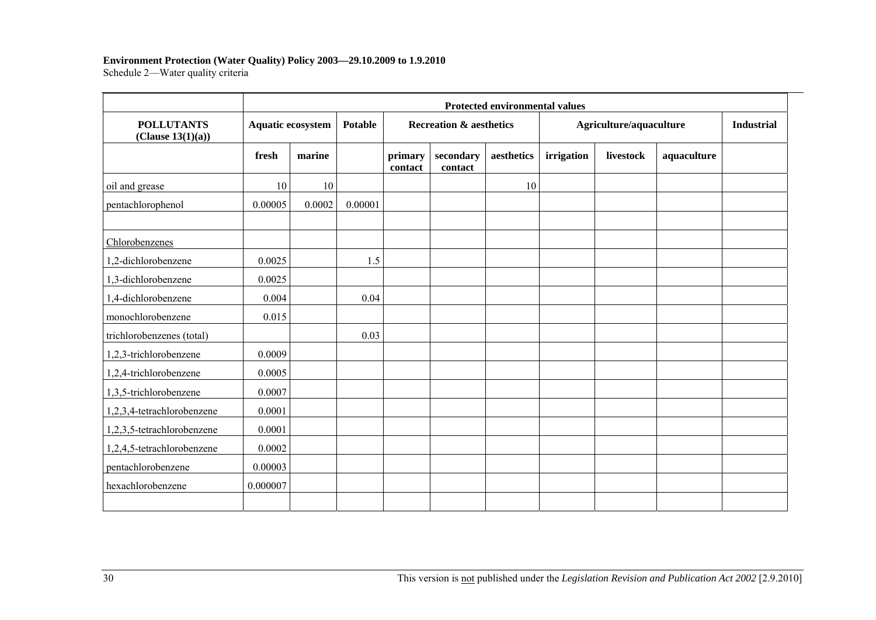#### **Environment Protection (Water Quality) Policy 2003—29.10.2009 to 1.9.2010**

Schedule 2—Water quality criteria

|                                        |          | <b>Protected environmental values</b> |         |                    |                                    |            |            |                         |             |  |  |  |  |
|----------------------------------------|----------|---------------------------------------|---------|--------------------|------------------------------------|------------|------------|-------------------------|-------------|--|--|--|--|
| <b>POLLUTANTS</b><br>(Clause 13(1)(a)) |          | <b>Aquatic ecosystem</b>              |         |                    | <b>Recreation &amp; aesthetics</b> |            |            | Agriculture/aquaculture |             |  |  |  |  |
|                                        | fresh    | marine                                |         | primary<br>contact | secondary<br>contact               | aesthetics | irrigation | livestock               | aquaculture |  |  |  |  |
| oil and grease                         | 10       | 10                                    |         |                    |                                    | 10         |            |                         |             |  |  |  |  |
| pentachlorophenol                      | 0.00005  | 0.0002                                | 0.00001 |                    |                                    |            |            |                         |             |  |  |  |  |
| Chlorobenzenes                         |          |                                       |         |                    |                                    |            |            |                         |             |  |  |  |  |
| 1,2-dichlorobenzene                    | 0.0025   |                                       | 1.5     |                    |                                    |            |            |                         |             |  |  |  |  |
| 1,3-dichlorobenzene                    | 0.0025   |                                       |         |                    |                                    |            |            |                         |             |  |  |  |  |
| 1,4-dichlorobenzene                    | 0.004    |                                       | 0.04    |                    |                                    |            |            |                         |             |  |  |  |  |
| monochlorobenzene                      | 0.015    |                                       |         |                    |                                    |            |            |                         |             |  |  |  |  |
| trichlorobenzenes (total)              |          |                                       | 0.03    |                    |                                    |            |            |                         |             |  |  |  |  |
| 1,2,3-trichlorobenzene                 | 0.0009   |                                       |         |                    |                                    |            |            |                         |             |  |  |  |  |
| 1,2,4-trichlorobenzene                 | 0.0005   |                                       |         |                    |                                    |            |            |                         |             |  |  |  |  |
| 1,3,5-trichlorobenzene                 | 0.0007   |                                       |         |                    |                                    |            |            |                         |             |  |  |  |  |
| 1,2,3,4-tetrachlorobenzene             | 0.0001   |                                       |         |                    |                                    |            |            |                         |             |  |  |  |  |
| 1,2,3,5-tetrachlorobenzene             | 0.0001   |                                       |         |                    |                                    |            |            |                         |             |  |  |  |  |
| 1,2,4,5-tetrachlorobenzene             | 0.0002   |                                       |         |                    |                                    |            |            |                         |             |  |  |  |  |
| pentachlorobenzene                     | 0.00003  |                                       |         |                    |                                    |            |            |                         |             |  |  |  |  |
| hexachlorobenzene                      | 0.000007 |                                       |         |                    |                                    |            |            |                         |             |  |  |  |  |
|                                        |          |                                       |         |                    |                                    |            |            |                         |             |  |  |  |  |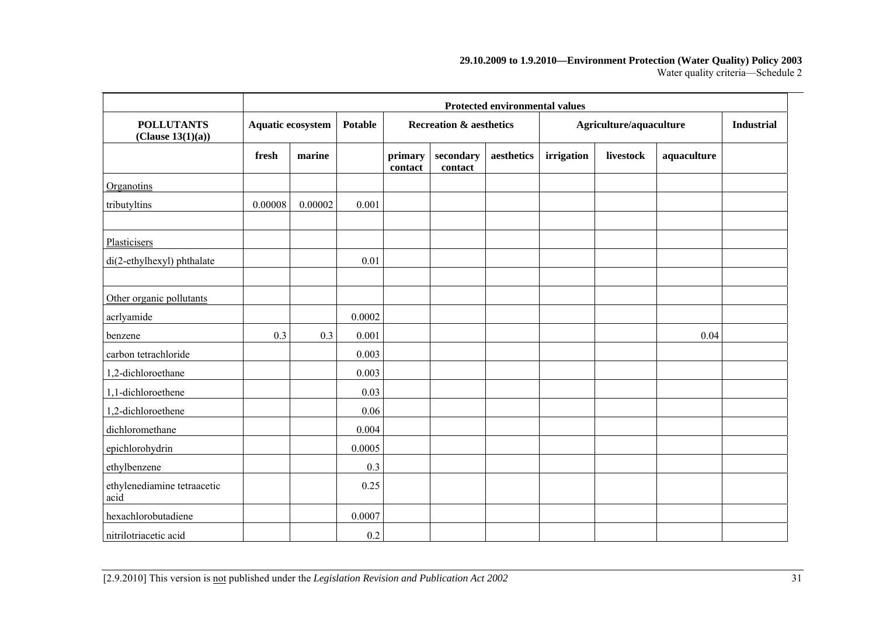#### **29.10.2009 to 1.9.2010—Environment Protection (Water Quality) Policy 2003**  Water quality criteria—Schedule 2

|                                        | <b>Protected environmental values</b> |         |                |                    |                                    |            |            |                         |             |                   |
|----------------------------------------|---------------------------------------|---------|----------------|--------------------|------------------------------------|------------|------------|-------------------------|-------------|-------------------|
| <b>POLLUTANTS</b><br>(Clause 13(1)(a)) | Aquatic ecosystem                     |         | <b>Potable</b> |                    | <b>Recreation &amp; aesthetics</b> |            |            | Agriculture/aquaculture |             | <b>Industrial</b> |
|                                        | fresh                                 | marine  |                | primary<br>contact | secondary<br>contact               | aesthetics | irrigation | livestock               | aquaculture |                   |
| Organotins                             |                                       |         |                |                    |                                    |            |            |                         |             |                   |
| tributyltins                           | 0.00008                               | 0.00002 | 0.001          |                    |                                    |            |            |                         |             |                   |
| Plasticisers                           |                                       |         |                |                    |                                    |            |            |                         |             |                   |
| di(2-ethylhexyl) phthalate             |                                       |         | 0.01           |                    |                                    |            |            |                         |             |                   |
| Other organic pollutants               |                                       |         |                |                    |                                    |            |            |                         |             |                   |
| acrlyamide                             |                                       |         | 0.0002         |                    |                                    |            |            |                         |             |                   |
| benzene                                | 0.3                                   | 0.3     | 0.001          |                    |                                    |            |            |                         | 0.04        |                   |
| carbon tetrachloride                   |                                       |         | 0.003          |                    |                                    |            |            |                         |             |                   |
| 1,2-dichloroethane                     |                                       |         | 0.003          |                    |                                    |            |            |                         |             |                   |
| 1,1-dichloroethene                     |                                       |         | 0.03           |                    |                                    |            |            |                         |             |                   |
| 1,2-dichloroethene                     |                                       |         | 0.06           |                    |                                    |            |            |                         |             |                   |
| dichloromethane                        |                                       |         | 0.004          |                    |                                    |            |            |                         |             |                   |
| epichlorohydrin                        |                                       |         | 0.0005         |                    |                                    |            |            |                         |             |                   |
| ethylbenzene                           |                                       |         | 0.3            |                    |                                    |            |            |                         |             |                   |
| ethylenediamine tetraacetic<br>acid    |                                       |         | 0.25           |                    |                                    |            |            |                         |             |                   |
| hexachlorobutadiene                    |                                       |         | 0.0007         |                    |                                    |            |            |                         |             |                   |
| nitrilotriacetic acid                  |                                       |         | 0.2            |                    |                                    |            |            |                         |             |                   |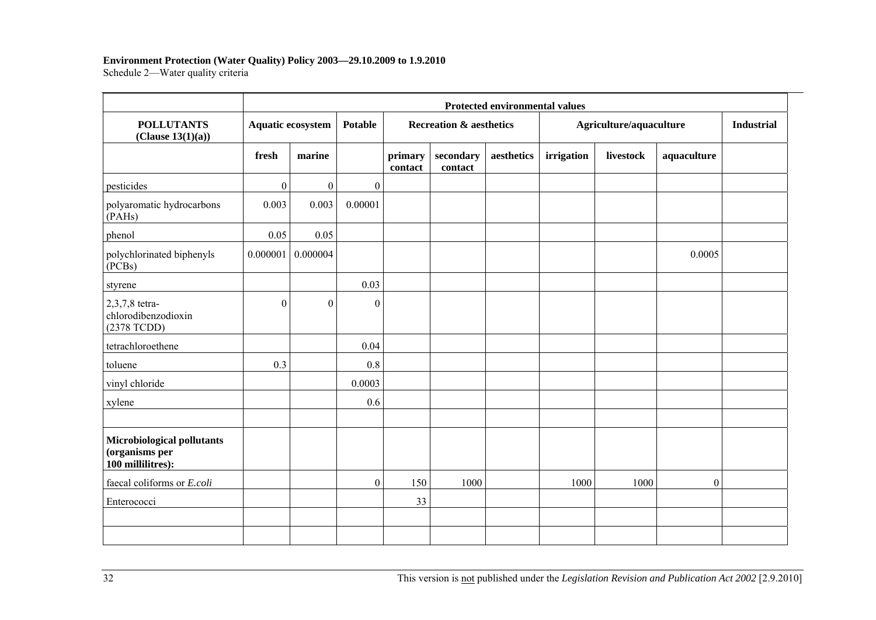#### **Environment Protection (Water Quality) Policy 2003—29.10.2009 to 1.9.2010**

Schedule 2—Water quality criteria

|                                                                   |              | <b>Protected environmental values</b> |                  |                    |                                    |            |                         |                   |                |  |  |  |  |
|-------------------------------------------------------------------|--------------|---------------------------------------|------------------|--------------------|------------------------------------|------------|-------------------------|-------------------|----------------|--|--|--|--|
| <b>POLLUTANTS</b><br>(Clause 13(1)(a))                            |              | Aquatic ecosystem                     |                  |                    | <b>Recreation &amp; aesthetics</b> |            | Agriculture/aquaculture | <b>Industrial</b> |                |  |  |  |  |
|                                                                   | fresh        | marine                                |                  | primary<br>contact | secondary<br>contact               | aesthetics | irrigation              | livestock         | aquaculture    |  |  |  |  |
| pesticides                                                        | $\mathbf{0}$ | $\mathbf{0}$                          | $\boldsymbol{0}$ |                    |                                    |            |                         |                   |                |  |  |  |  |
| polyaromatic hydrocarbons<br>(PAHs)                               | 0.003        | 0.003                                 | 0.00001          |                    |                                    |            |                         |                   |                |  |  |  |  |
| phenol                                                            | 0.05         | 0.05                                  |                  |                    |                                    |            |                         |                   |                |  |  |  |  |
| polychlorinated biphenyls<br>(PCBs)                               | 0.000001     | 0.000004                              |                  |                    |                                    |            |                         |                   | 0.0005         |  |  |  |  |
| styrene                                                           |              |                                       | 0.03             |                    |                                    |            |                         |                   |                |  |  |  |  |
| 2,3,7,8 tetra-<br>chlorodibenzodioxin<br>(2378 TCDD)              | $\Omega$     | $\boldsymbol{0}$                      | $\theta$         |                    |                                    |            |                         |                   |                |  |  |  |  |
| tetrachloroethene                                                 |              |                                       | 0.04             |                    |                                    |            |                         |                   |                |  |  |  |  |
| toluene                                                           | 0.3          |                                       | 0.8              |                    |                                    |            |                         |                   |                |  |  |  |  |
| vinyl chloride                                                    |              |                                       | 0.0003           |                    |                                    |            |                         |                   |                |  |  |  |  |
| xylene                                                            |              |                                       | 0.6              |                    |                                    |            |                         |                   |                |  |  |  |  |
| Microbiological pollutants<br>(organisms per<br>100 millilitres): |              |                                       |                  |                    |                                    |            |                         |                   |                |  |  |  |  |
| faecal coliforms or E.coli                                        |              |                                       | $\boldsymbol{0}$ | 150                | 1000                               |            | 1000                    | 1000              | $\overline{0}$ |  |  |  |  |
| Enterococci                                                       |              |                                       |                  | 33                 |                                    |            |                         |                   |                |  |  |  |  |
|                                                                   |              |                                       |                  |                    |                                    |            |                         |                   |                |  |  |  |  |
|                                                                   |              |                                       |                  |                    |                                    |            |                         |                   |                |  |  |  |  |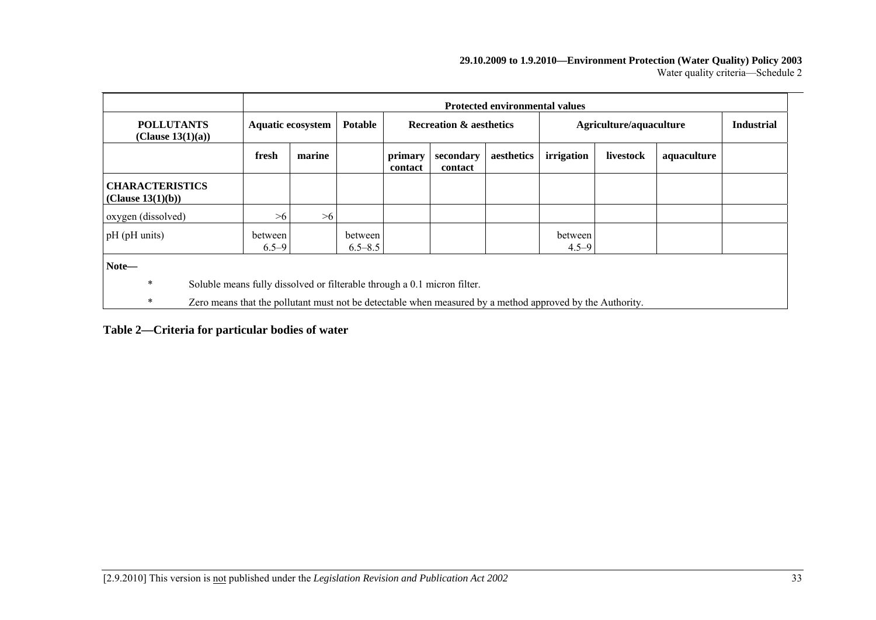#### **29.10.2009 to 1.9.2010—Environment Protection (Water Quality) Policy 2003**  Water quality criteria—Schedule 2

|                                                                               | <b>Protected environmental values</b>                                                                     |        |                        |                                    |                      |            |                         |                   |             |  |
|-------------------------------------------------------------------------------|-----------------------------------------------------------------------------------------------------------|--------|------------------------|------------------------------------|----------------------|------------|-------------------------|-------------------|-------------|--|
| <b>POLLUTANTS</b><br>(Clause $13(1)(a)$ )                                     | Aquatic ecosystem                                                                                         |        | <b>Potable</b>         | <b>Recreation &amp; aesthetics</b> |                      |            | Agriculture/aquaculture | <b>Industrial</b> |             |  |
|                                                                               | fresh                                                                                                     | marine |                        | primary<br>contact                 | secondary<br>contact | aesthetics | irrigation              | livestock         | aquaculture |  |
| <b>CHARACTERISTICS</b><br>(Clause 13(1)(b))                                   |                                                                                                           |        |                        |                                    |                      |            |                         |                   |             |  |
| oxygen (dissolved)                                                            | >6                                                                                                        | >6     |                        |                                    |                      |            |                         |                   |             |  |
| pH (pH units)                                                                 | between<br>$6.5 - 9$                                                                                      |        | between<br>$6.5 - 8.5$ |                                    |                      |            | between<br>$4.5 - 9$    |                   |             |  |
| Note-                                                                         |                                                                                                           |        |                        |                                    |                      |            |                         |                   |             |  |
| *<br>Soluble means fully dissolved or filterable through a 0.1 micron filter. |                                                                                                           |        |                        |                                    |                      |            |                         |                   |             |  |
| *                                                                             | Zero means that the pollutant must not be detectable when measured by a method approved by the Authority. |        |                        |                                    |                      |            |                         |                   |             |  |

#### **Table 2—Criteria for particular bodies of water**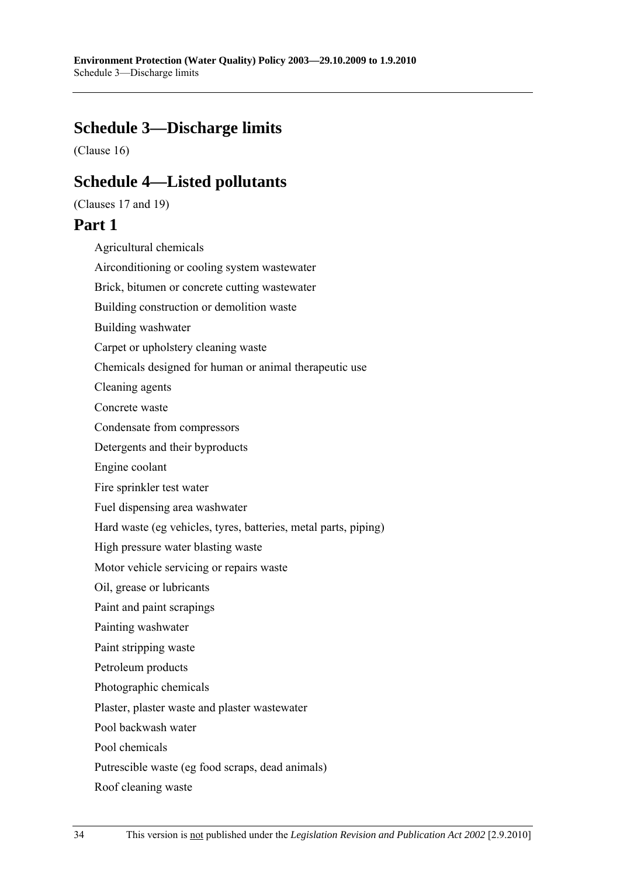# **Schedule 3—Discharge limits**

(Clause 16)

# **Schedule 4—Listed pollutants**

(Clauses 17 and 19)

# **Part 1**

Agricultural chemicals Airconditioning or cooling system wastewater Brick, bitumen or concrete cutting wastewater Building construction or demolition waste Building washwater Carpet or upholstery cleaning waste Chemicals designed for human or animal therapeutic use Cleaning agents Concrete waste Condensate from compressors Detergents and their byproducts Engine coolant Fire sprinkler test water Fuel dispensing area washwater Hard waste (eg vehicles, tyres, batteries, metal parts, piping) High pressure water blasting waste Motor vehicle servicing or repairs waste Oil, grease or lubricants Paint and paint scrapings Painting washwater Paint stripping waste Petroleum products Photographic chemicals Plaster, plaster waste and plaster wastewater Pool backwash water Pool chemicals Putrescible waste (eg food scraps, dead animals) Roof cleaning waste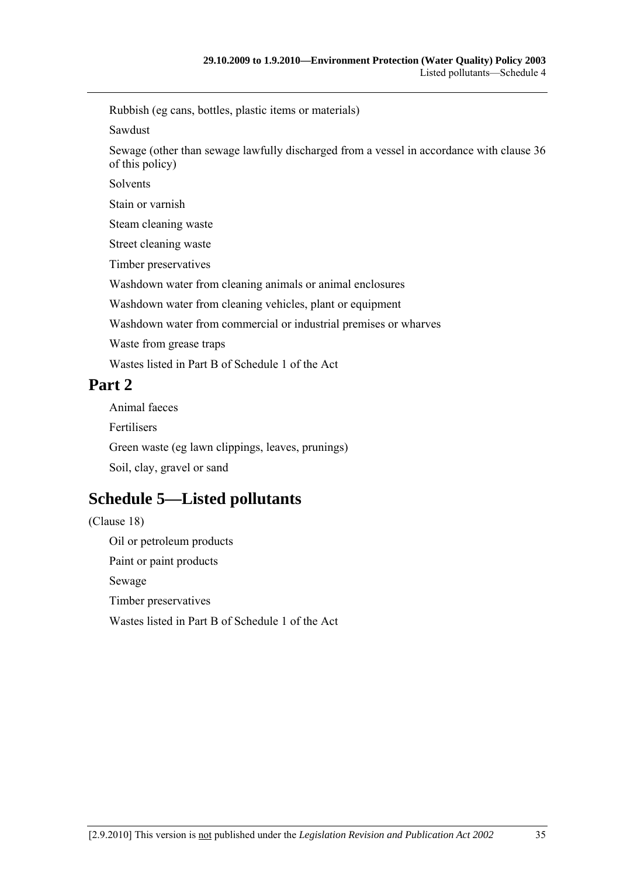Rubbish (eg cans, bottles, plastic items or materials)

Sawdust

Sewage (other than sewage lawfully discharged from a vessel in accordance with clause 36 of this policy)

Solvents

Stain or varnish

Steam cleaning waste

Street cleaning waste

Timber preservatives

Washdown water from cleaning animals or animal enclosures

Washdown water from cleaning vehicles, plant or equipment

Washdown water from commercial or industrial premises or wharves

Waste from grease traps

Wastes listed in Part B of Schedule 1 of the Act

# **Part 2**

Animal faeces Fertilisers Green waste (eg lawn clippings, leaves, prunings) Soil, clay, gravel or sand

# **Schedule 5—Listed pollutants**

(Clause 18) Oil or petroleum products Paint or paint products Sewage Timber preservatives Wastes listed in Part B of Schedule 1 of the Act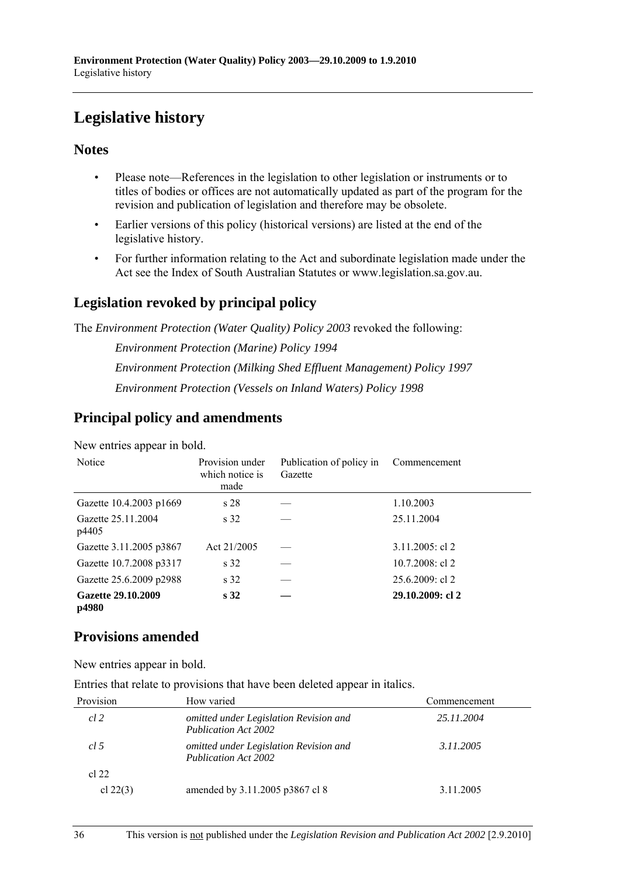# **Legislative history**

## **Notes**

- Please note—References in the legislation to other legislation or instruments or to titles of bodies or offices are not automatically updated as part of the program for the revision and publication of legislation and therefore may be obsolete.
- Earlier versions of this policy (historical versions) are listed at the end of the legislative history.
- For further information relating to the Act and subordinate legislation made under the Act see the Index of South Australian Statutes or www.legislation.sa.gov.au.

# **Legislation revoked by principal policy**

The *Environment Protection (Water Quality) Policy 2003* revoked the following:

*Environment Protection (Marine) Policy 1994 Environment Protection (Milking Shed Effluent Management) Policy 1997 Environment Protection (Vessels on Inland Waters) Policy 1998*

# **Principal policy and amendments**

New entries appear in bold.

| Notice                      | Provision under<br>which notice is<br>made | Publication of policy in<br>Gazette | Commencement       |
|-----------------------------|--------------------------------------------|-------------------------------------|--------------------|
| Gazette 10.4.2003 p1669     | s 28                                       |                                     | 1.10.2003          |
| Gazette 25.11.2004<br>p4405 | s 32                                       |                                     | 25.11.2004         |
| Gazette 3.11.2005 p3867     | Act 21/2005                                |                                     | $3.11.2005$ : cl 2 |
| Gazette 10.7.2008 p3317     | s 32                                       |                                     | $10.7.2008$ : cl 2 |
| Gazette 25.6.2009 p2988     | s 32                                       |                                     | $25.6.2009$ : cl 2 |
| Gazette 29.10.2009<br>p4980 | s <sub>32</sub>                            |                                     | 29.10.2009: cl 2   |

## **Provisions amended**

New entries appear in bold.

Entries that relate to provisions that have been deleted appear in italics.

| Provision  | How varied                                                            | Commencement |
|------------|-----------------------------------------------------------------------|--------------|
| cl 2       | omitted under Legislation Revision and<br><b>Publication Act 2002</b> | 25.11.2004   |
| cl.5       | omitted under Legislation Revision and<br><b>Publication Act 2002</b> | 3.11.2005    |
| cl 22      |                                                                       |              |
| cl $22(3)$ | amended by 3.11.2005 p3867 cl 8                                       | 3.11.2005    |